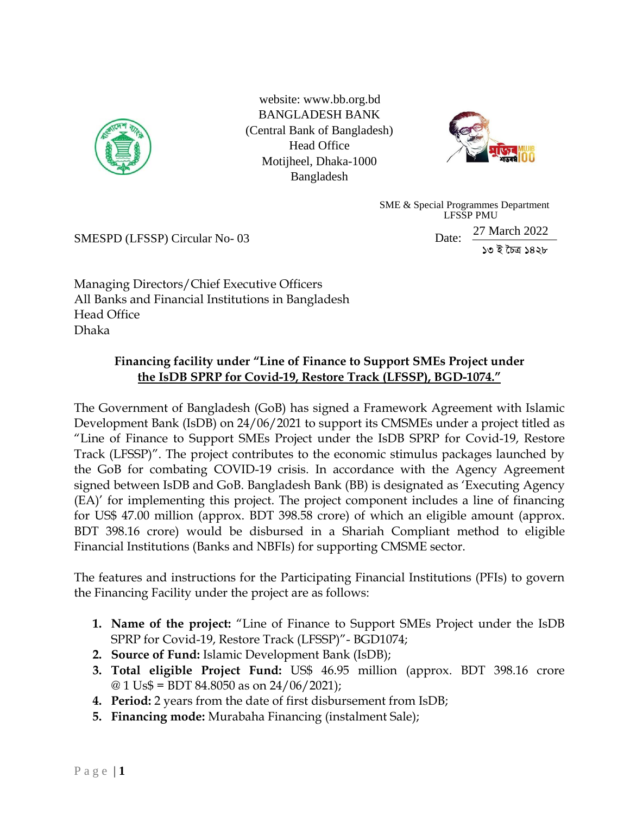

website: [www.bb.org.bd](http://www.bb.org.bd/) BANGLADESH BANK (Central Bank of Bangladesh) Head Office Motijheel, Dhaka-1000 Bangladesh



 SME & Special Programmes Department LFSSP PMU Date: 27 March 2022 *13 B ‰PÎ 1428*

SMESPD (LFSSP) Circular No- 03

Managing Directors/Chief Executive Officers All Banks and Financial Institutions in Bangladesh Head Office Dhaka

## **Financing facility under "Line of Finance to Support SMEs Project under the IsDB SPRP for Covid-19, Restore Track (LFSSP), BGD-1074."**

The Government of Bangladesh (GoB) has signed a Framework Agreement with Islamic Development Bank (IsDB) on 24/06/2021 to support its CMSMEs under a project titled as "Line of Finance to Support SMEs Project under the IsDB SPRP for Covid-19, Restore Track (LFSSP)". The project contributes to the economic stimulus packages launched by the GoB for combating COVID-19 crisis. In accordance with the Agency Agreement signed between IsDB and GoB. Bangladesh Bank (BB) is designated as 'Executing Agency (EA)' for implementing this project. The project component includes a line of financing for US\$ 47.00 million (approx. BDT 398.58 crore) of which an eligible amount (approx. BDT 398.16 crore) would be disbursed in a Shariah Compliant method to eligible Financial Institutions (Banks and NBFIs) for supporting CMSME sector.

The features and instructions for the Participating Financial Institutions (PFIs) to govern the Financing Facility under the project are as follows:

- **1. Name of the project:** "Line of Finance to Support SMEs Project under the IsDB SPRP for Covid-19, Restore Track (LFSSP)"- BGD1074;
- **2. Source of Fund:** Islamic Development Bank (IsDB);
- **3. Total eligible Project Fund:** US\$ 46.95 million (approx. BDT 398.16 crore  $\textcircled{a}$  1 Us\$ = BDT 84.8050 as on 24/06/2021);
- **4. Period:** 2 years from the date of first disbursement from IsDB;
- **5. Financing mode:** Murabaha Financing (instalment Sale);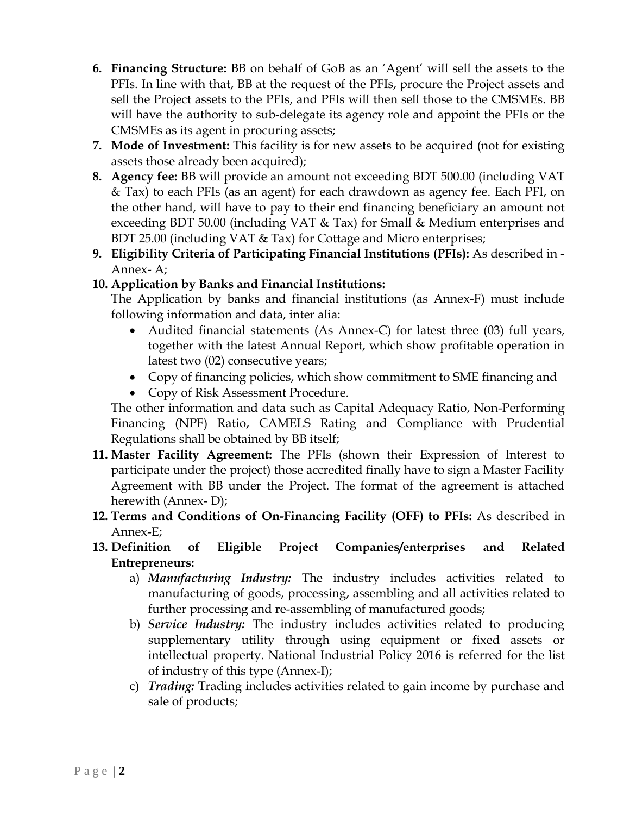- **6. Financing Structure:** BB on behalf of GoB as an 'Agent' will sell the assets to the PFIs. In line with that, BB at the request of the PFIs, procure the Project assets and sell the Project assets to the PFIs, and PFIs will then sell those to the CMSMEs. BB will have the authority to sub-delegate its agency role and appoint the PFIs or the CMSMEs as its agent in procuring assets;
- **7. Mode of Investment:** This facility is for new assets to be acquired (not for existing assets those already been acquired);
- **8. Agency fee:** BB will provide an amount not exceeding BDT 500.00 (including VAT & Tax) to each PFIs (as an agent) for each drawdown as agency fee. Each PFI, on the other hand, will have to pay to their end financing beneficiary an amount not exceeding BDT 50.00 (including VAT & Tax) for Small & Medium enterprises and BDT 25.00 (including VAT & Tax) for Cottage and Micro enterprises;
- **9. Eligibility Criteria of Participating Financial Institutions (PFIs):** As described in Annex- A;

## **10. Application by Banks and Financial Institutions:**

The Application by banks and financial institutions (as Annex-F) must include following information and data, inter alia:

- Audited financial statements (As Annex-C) for latest three (03) full years, together with the latest Annual Report, which show profitable operation in latest two (02) consecutive years;
- Copy of financing policies, which show commitment to SME financing and
- Copy of Risk Assessment Procedure.

The other information and data such as Capital Adequacy Ratio, Non-Performing Financing (NPF) Ratio, CAMELS Rating and Compliance with Prudential Regulations shall be obtained by BB itself;

- **11. Master Facility Agreement:** The PFIs (shown their Expression of Interest to participate under the project) those accredited finally have to sign a Master Facility Agreement with BB under the Project. The format of the agreement is attached herewith (Annex- D);
- **12. Terms and Conditions of On-Financing Facility (OFF) to PFIs:** As described in Annex-E;
- **13. Definition of Eligible Project Companies/enterprises and Related Entrepreneurs:**
	- a) *Manufacturing Industry:* The industry includes activities related to manufacturing of goods, processing, assembling and all activities related to further processing and re-assembling of manufactured goods;
	- b) *Service Industry:* The industry includes activities related to producing supplementary utility through using equipment or fixed assets or intellectual property. National Industrial Policy 2016 is referred for the list of industry of this type (Annex-I);
	- c) *Trading:* Trading includes activities related to gain income by purchase and sale of products;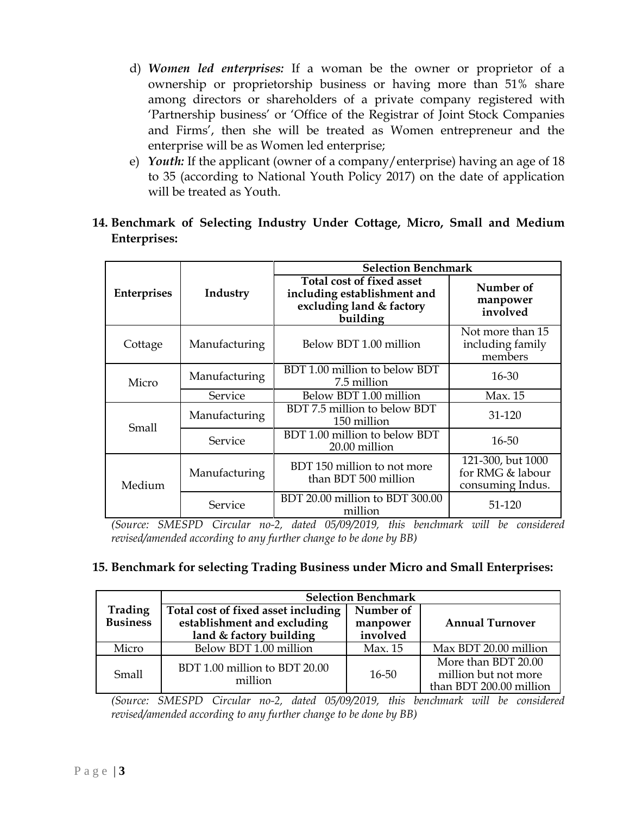- d) *Women led enterprises:* If a woman be the owner or proprietor of a ownership or proprietorship business or having more than 51% share among directors or shareholders of a private company registered with 'Partnership business' or 'Office of the Registrar of Joint Stock Companies and Firms', then she will be treated as Women entrepreneur and the enterprise will be as Women led enterprise;
- e) *Youth:* If the applicant (owner of a company/enterprise) having an age of 18 to 35 (according to National Youth Policy 2017) on the date of application will be treated as Youth.
- **14. Benchmark of Selecting Industry Under Cottage, Micro, Small and Medium Enterprises:**

|                    |               | <b>Selection Benchmark</b>                                                                       |                                                           |
|--------------------|---------------|--------------------------------------------------------------------------------------------------|-----------------------------------------------------------|
| <b>Enterprises</b> | Industry      | Total cost of fixed asset<br>including establishment and<br>excluding land & factory<br>building | Number of<br>manpower<br>involved                         |
| Cottage            | Manufacturing | Below BDT 1.00 million                                                                           | Not more than 15<br>including family<br>members           |
| Micro              | Manufacturing | BDT 1.00 million to below BDT<br>7.5 million                                                     | $16 - 30$                                                 |
|                    | Service       | Below BDT 1.00 million                                                                           | Max. 15                                                   |
| Small              | Manufacturing | BDT 7.5 million to below BDT<br>150 million                                                      | 31-120                                                    |
|                    | Service       | BDT 1.00 million to below BDT<br>20.00 million                                                   | 16-50                                                     |
| Medium             | Manufacturing | BDT 150 million to not more<br>than BDT 500 million                                              | 121-300, but 1000<br>for RMG & labour<br>consuming Indus. |
|                    | Service       | BDT 20.00 million to BDT 300.00<br>million                                                       | 51-120                                                    |

*(Source: SMESPD Circular no-2, dated 05/09/2019, this benchmark will be considered revised/amended according to any further change to be done by BB)* 

#### **15. Benchmark for selecting Trading Business under Micro and Small Enterprises:**

|                            | <b>Selection Benchmark</b>                                                                    |                                   |                                                                        |  |  |  |
|----------------------------|-----------------------------------------------------------------------------------------------|-----------------------------------|------------------------------------------------------------------------|--|--|--|
| Trading<br><b>Business</b> | Total cost of fixed asset including<br>establishment and excluding<br>land & factory building | Number of<br>manpower<br>involved | <b>Annual Turnover</b>                                                 |  |  |  |
| Micro                      | Below BDT 1.00 million                                                                        | Max. 15                           | Max BDT 20.00 million                                                  |  |  |  |
| Small                      | BDT 1.00 million to BDT 20.00<br>million                                                      | $16 - 50$                         | More than BDT 20.00<br>million but not more<br>than BDT 200.00 million |  |  |  |

*(Source: SMESPD Circular no-2, dated 05/09/2019, this benchmark will be considered revised/amended according to any further change to be done by BB)*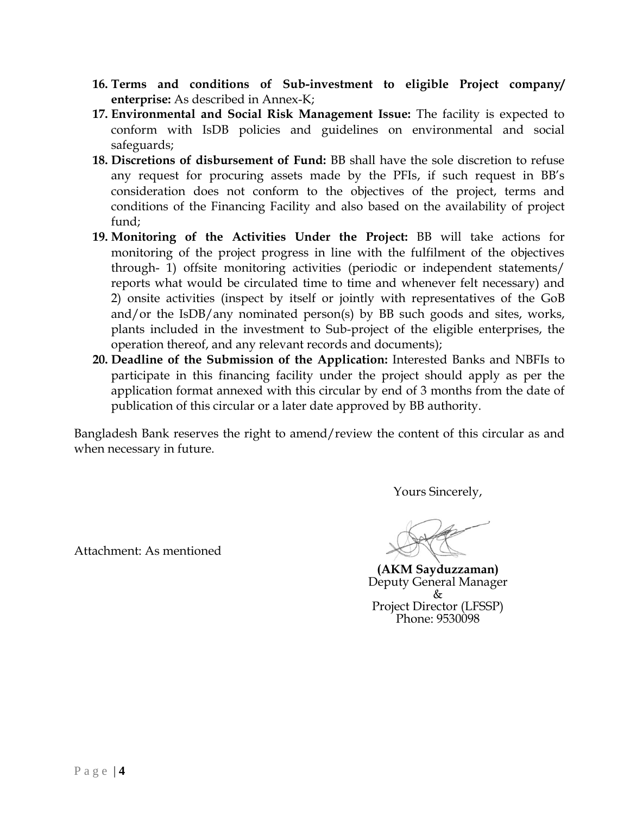- **16. Terms and conditions of Sub-investment to eligible Project company/ enterprise:** As described in Annex-K;
- **17. Environmental and Social Risk Management Issue:** The facility is expected to conform with IsDB policies and guidelines on environmental and social safeguards;
- **18. Discretions of disbursement of Fund:** BB shall have the sole discretion to refuse any request for procuring assets made by the PFIs, if such request in BB's consideration does not conform to the objectives of the project, terms and conditions of the Financing Facility and also based on the availability of project fund;
- **19. Monitoring of the Activities Under the Project:** BB will take actions for monitoring of the project progress in line with the fulfilment of the objectives through- 1) offsite monitoring activities (periodic or independent statements/ reports what would be circulated time to time and whenever felt necessary) and 2) onsite activities (inspect by itself or jointly with representatives of the GoB and/or the IsDB/any nominated person(s) by BB such goods and sites, works, plants included in the investment to Sub-project of the eligible enterprises, the operation thereof, and any relevant records and documents);
- **20. Deadline of the Submission of the Application:** Interested Banks and NBFIs to participate in this financing facility under the project should apply as per the application format annexed with this circular by end of 3 months from the date of publication of this circular or a later date approved by BB authority.

Bangladesh Bank reserves the right to amend/review the content of this circular as and when necessary in future.

Yours Sincerely,

**(AKM Sayduzzaman)** Deputy General Manager & Project Director (LFSSP) Phone: 9530098

Attachment: As mentioned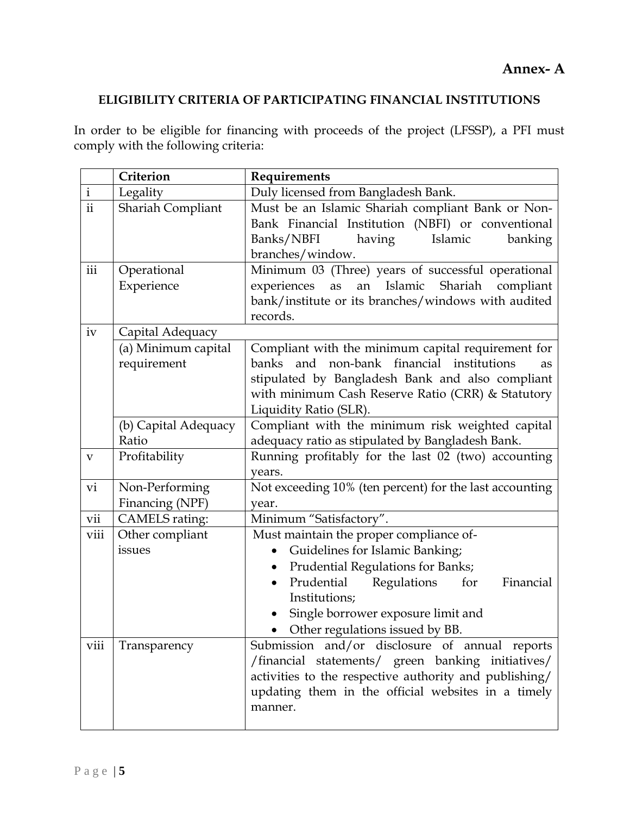## **Annex- A**

## **ELIGIBILITY CRITERIA OF PARTICIPATING FINANCIAL INSTITUTIONS**

In order to be eligible for financing with proceeds of the project (LFSSP), a PFI must comply with the following criteria:

|               | Criterion                          | Requirements                                                                                                                                                                                                                                                                      |
|---------------|------------------------------------|-----------------------------------------------------------------------------------------------------------------------------------------------------------------------------------------------------------------------------------------------------------------------------------|
| $\mathbf{i}$  | Legality                           | Duly licensed from Bangladesh Bank.                                                                                                                                                                                                                                               |
| $\mathbf{ii}$ | Shariah Compliant                  | Must be an Islamic Shariah compliant Bank or Non-<br>Bank Financial Institution (NBFI) or conventional<br>Banks/NBFI<br>having<br>Islamic<br>banking<br>branches/window.                                                                                                          |
| iii           | Operational<br>Experience          | Minimum 03 (Three) years of successful operational<br>an Islamic Shariah compliant<br>experiences as<br>bank/institute or its branches/windows with audited<br>records.                                                                                                           |
| iv            | Capital Adequacy                   |                                                                                                                                                                                                                                                                                   |
|               | (a) Minimum capital<br>requirement | Compliant with the minimum capital requirement for<br>banks and non-bank financial institutions<br>as<br>stipulated by Bangladesh Bank and also compliant<br>with minimum Cash Reserve Ratio (CRR) & Statutory<br>Liquidity Ratio (SLR).                                          |
|               | (b) Capital Adequacy               | Compliant with the minimum risk weighted capital                                                                                                                                                                                                                                  |
|               | Ratio                              | adequacy ratio as stipulated by Bangladesh Bank.                                                                                                                                                                                                                                  |
| V             | Profitability                      | Running profitably for the last 02 (two) accounting<br>years.                                                                                                                                                                                                                     |
| vi            | Non-Performing<br>Financing (NPF)  | Not exceeding 10% (ten percent) for the last accounting<br>year.                                                                                                                                                                                                                  |
| vii           | <b>CAMELS</b> rating:              | Minimum "Satisfactory".                                                                                                                                                                                                                                                           |
| viii          | Other compliant<br>issues          | Must maintain the proper compliance of-<br>Guidelines for Islamic Banking;<br>Prudential Regulations for Banks;<br>$\bullet$<br>Prudential Regulations<br>for<br>Financial<br>$\bullet$<br>Institutions;<br>Single borrower exposure limit and<br>Other regulations issued by BB. |
| viii          | Transparency                       | Submission and/or disclosure of annual reports<br>/financial statements/ green banking initiatives/<br>activities to the respective authority and publishing/<br>updating them in the official websites in a timely<br>manner.                                                    |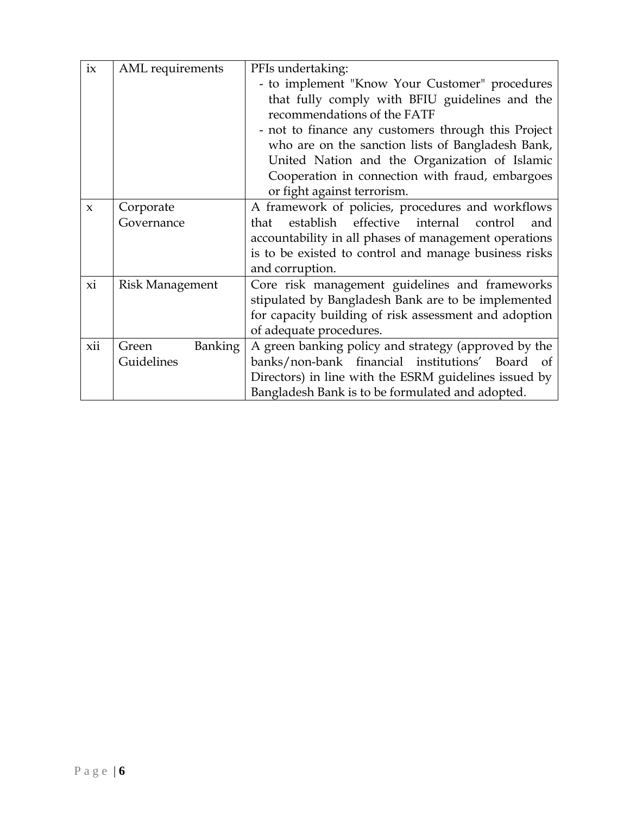| ix           | AML requirements        | PFIs undertaking:                                         |
|--------------|-------------------------|-----------------------------------------------------------|
|              |                         | - to implement "Know Your Customer" procedures            |
|              |                         | that fully comply with BFIU guidelines and the            |
|              |                         | recommendations of the FATF                               |
|              |                         | - not to finance any customers through this Project       |
|              |                         | who are on the sanction lists of Bangladesh Bank,         |
|              |                         | United Nation and the Organization of Islamic             |
|              |                         | Cooperation in connection with fraud, embargoes           |
|              |                         | or fight against terrorism.                               |
| $\mathbf{x}$ | Corporate               | A framework of policies, procedures and workflows         |
|              | Governance              | effective internal<br>establish<br>control<br>that<br>and |
|              |                         | accountability in all phases of management operations     |
|              |                         | is to be existed to control and manage business risks     |
|              |                         | and corruption.                                           |
| xi           | <b>Risk Management</b>  | Core risk management guidelines and frameworks            |
|              |                         | stipulated by Bangladesh Bank are to be implemented       |
|              |                         | for capacity building of risk assessment and adoption     |
|              |                         | of adequate procedures.                                   |
| xii          | <b>Banking</b><br>Green | A green banking policy and strategy (approved by the      |
|              | Guidelines              | banks/non-bank financial institutions' Board of           |
|              |                         | Directors) in line with the ESRM guidelines issued by     |
|              |                         | Bangladesh Bank is to be formulated and adopted.          |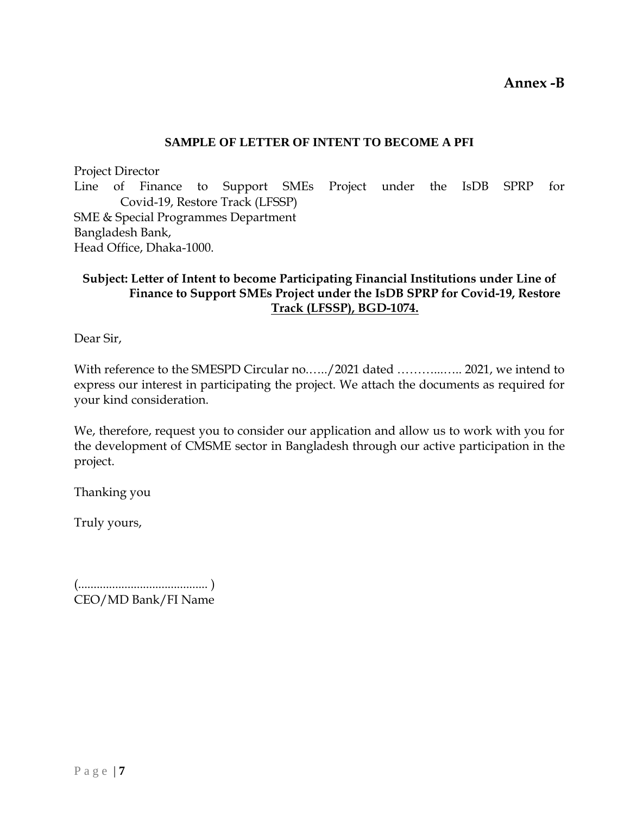**Annex -B**

#### **SAMPLE OF LETTER OF INTENT TO BECOME A PFI**

Project Director Line of Finance to Support SMEs Project under the IsDB SPRP for Covid-19, Restore Track (LFSSP) SME & Special Programmes Department Bangladesh Bank, Head Office, Dhaka-1000.

## **Subject: Letter of Intent to become Participating Financial Institutions under Line of Finance to Support SMEs Project under the IsDB SPRP for Covid-19, Restore Track (LFSSP), BGD-1074.**

Dear Sir,

With reference to the SMESPD Circular no....../2021 dated .................. 2021, we intend to express our interest in participating the project. We attach the documents as required for your kind consideration.

We, therefore, request you to consider our application and allow us to work with you for the development of CMSME sector in Bangladesh through our active participation in the project.

Thanking you

Truly yours,

(.......................................... ) CEO/MD Bank/FI Name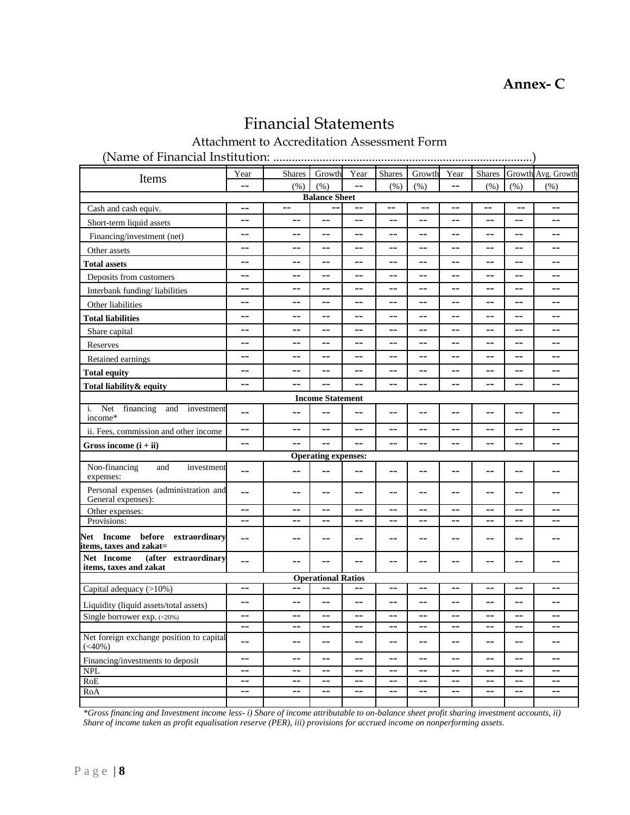$\overline{\phantom{a}}$ 

# Financial Statements

Attachment to Accreditation Assessment Form

(Name of Financial Institution: ....................................................................................)

| Items                                                                | Year       | <b>Shares</b> | Growth                     | Year                     | <b>Shares</b> | Growth                | Year           | <b>Shares</b>            |                | Growth Avg. Growth |
|----------------------------------------------------------------------|------------|---------------|----------------------------|--------------------------|---------------|-----------------------|----------------|--------------------------|----------------|--------------------|
|                                                                      | $-$        | (% )          | (% )                       | $-$                      | (% )          | (% )                  | $-$            | (% )                     | (% )           | (% )               |
|                                                                      |            |               | <b>Balance Sheet</b>       |                          |               |                       |                |                          |                |                    |
| Cash and cash equiv.                                                 | $-$        | $-$           |                            | $\overline{\phantom{m}}$ | $-$           | $-$                   | $-$            | $-$                      | $-$            | $-$                |
| Short-term liquid assets                                             | $-$        | $-$           | $-$                        | $-$                      | $-$           | $-$                   | $-1$           | $-$                      | $-$            | $-$                |
| Financing/investment (net)                                           | $-$        | $-1$          | $-$                        | $-$                      | $-1$          | $-1$                  | $-1$           | $-1$                     | $-1$           | $-$                |
| Other assets                                                         | $-$        | $=$ $-$       | $-$                        | $-$                      | $-$           | $-$                   | $-$            | $-$                      | $-$            | $-$                |
| <b>Total assets</b>                                                  | $-$        | $-$           | $-$                        | $-$                      | $-$           | $-$                   | $-$            | $-$                      | $-$            | $-$                |
| Deposits from customers                                              | $-$        | --            | $-$                        | $-$                      | $-$           | $-$                   | --             | $-$                      | --             | $-$                |
| Interbank funding/liabilities                                        | $-$        | $-1$          | $-$                        | $-$                      | $-$           | $-$                   | $\overline{a}$ | $-$                      | $\overline{a}$ | $-$                |
| Other liabilities                                                    | $-$        | $-$           | $-$                        | $-$                      | $-1$          | $-$                   | --             | $-1$                     | $-1$           | $-$                |
| <b>Total liabilities</b>                                             | $-$        | $-$           | $-$                        | $-$                      | $-$           | $-$                   | --             | $-$                      | $-$            | $-$                |
| Share capital                                                        | $-$        | $- -$         | $-$                        | $-$                      | $-$           | $-$                   | --             | $-$                      | --             | $-$                |
| Reserves                                                             | $-$        | $-1$          | $-$                        | $-$                      | $-1$          | $-$                   | $-$            | $-1$                     | $-$            | $-$                |
| Retained earnings                                                    | $-$        | $-1$          | $-$                        |                          | $-1$          | $-1$                  | $-1$           | $-1$                     | $-1$           | $-$                |
| <b>Total equity</b>                                                  | $-$        | $=$ $-$       | $-$                        | $-$                      | $-$           | $-$                   | $-$            | $-$                      | --             | $-$                |
| Total liability & equity                                             | $-$        | $=$ $-$       |                            |                          | $-$           | $-$                   | $-$            | $-$                      |                | $-$                |
|                                                                      |            |               | <b>Income Statement</b>    |                          |               |                       |                |                          |                |                    |
| i. Net<br>financing<br>and<br>investment<br>income*                  | $-$        | $-1$          |                            |                          |               |                       | --             |                          | --             |                    |
| ii. Fees, commission and other income                                | $-\,-$     | $-$           | $-$                        | $-$                      | $-$           | $-$                   | $-$            | $-$                      | $-$            | --                 |
| Gross income $(i + ii)$                                              | $-$        |               | $-$                        | $-$                      | $-1$          | $\overline{a}$        | $\overline{a}$ | $-1$                     | $-$            | $-$                |
|                                                                      |            |               | <b>Operating expenses:</b> |                          |               |                       |                |                          |                |                    |
| Non-financing<br>and<br>investment<br>expenses:                      | $-$        | $-$           | $-$                        | $-$                      | $-1$          | $-$                   | $-$            | $-$                      | $-$            | $-$                |
| Personal expenses (administration and<br>General expenses):          | $-$        | $-$           | $-$                        | $-$                      | $-$           | $-$                   | --             | $-$                      | --             | $-$                |
| Other expenses:                                                      | $-$        | $-$           | $-$                        | $-$                      | $-$           | $-$                   | $-$            | $-$                      | $-$            | $-$                |
| Provisions:                                                          | $-$        | $ -$          | $-$                        | --                       | $-$           | $-$                   | --             | $-$                      | --             | $- -$              |
| <b>Net Income before</b><br>extraordinary<br>items, taxes and zakat= | $-$        | --            | $-$                        | $-$                      | $-1$          | $-1$                  | --             | $-$                      | $-$            | --                 |
| Net Income<br>extraordinary<br>(after<br>items, taxes and zakat      | $-$        | --            | $-$                        | $-$                      | $-$           | $-$                   | --             | $-$                      | --             | --                 |
|                                                                      |            |               | <b>Operational Ratios</b>  |                          |               |                       |                |                          |                |                    |
| Capital adequacy (>10%)                                              | $-$        | $-$           | $-$                        | $-$                      | $-$           | $\overline{a}$        | $\overline{a}$ | $-1$                     | $-$            | $-$                |
| Liquidity (liquid assets/total assets)                               | $-$        | $-1$          | $-$                        | $-$                      | $-$           | $-$                   | $-$            | $-$                      | $-$            | $-$                |
| Single borrower exp. (<20%)                                          | $-$        | $-1$          | $-$                        | $-$                      | $-$           | $-$                   | $-1$           | $-$                      | $-$            | $-$                |
|                                                                      | $-$        | $-$           | $-$                        | $-$                      | $-$           | $-$                   | $-$            | $-$                      | $-$            | $-$                |
| Net foreign exchange position to capital<br>$(<\!\!40\%)$            | $-$        | $=$ $-$       | $\overline{a}$             | $-$                      | $-$           | $-$                   | $-$            | $-$                      | $-$            | $-$                |
| Financing/investments to deposit                                     | $-$        | $-1$          | $-$                        | $-$                      | $-$           | $-$                   | $-$            | $-$                      | $-$            | $-$                |
| <b>NPL</b>                                                           | $-$        | $-$           | $\overline{a}$             | $-$                      | $-$           | $\overline{a}$        | $-$            | $\overline{\phantom{a}}$ | $-$            | $-$                |
| RoE                                                                  | $-$<br>$-$ | --<br>$-$     | $-$<br>$-$                 | $-$<br>$-$               | $-1$<br>$-$   | $-$<br>$\overline{a}$ | $-1$<br>--     | $-1$<br>$-$              | $-$<br>$-$     | $-$<br>$-$         |
| RoA                                                                  |            |               |                            |                          |               |                       |                |                          |                |                    |

*\*Gross financing and Investment income less- i) Share of income attributable to on-balance sheet profit sharing investment accounts, ii) Share of income taken as profit equalisation reserve (PER), iii) provisions for accrued income on nonperforming assets.*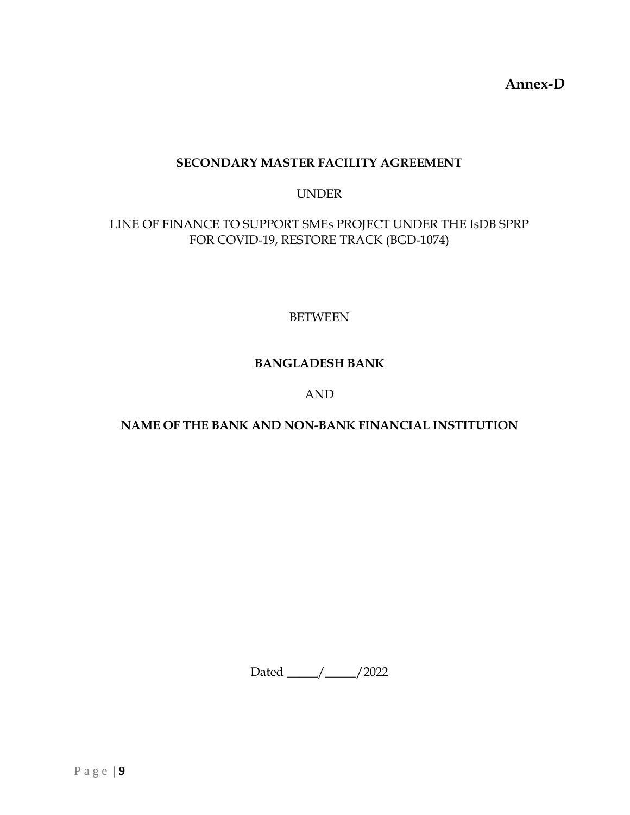**Annex-D**

## **SECONDARY MASTER FACILITY AGREEMENT**

#### UNDER

## LINE OF FINANCE TO SUPPORT SMEs PROJECT UNDER THE IsDB SPRP FOR COVID-19, RESTORE TRACK (BGD-1074)

BETWEEN

## **BANGLADESH BANK**

#### AND

## **NAME OF THE BANK AND NON-BANK FINANCIAL INSTITUTION**

Dated \_\_\_\_\_/\_\_\_\_\_/2022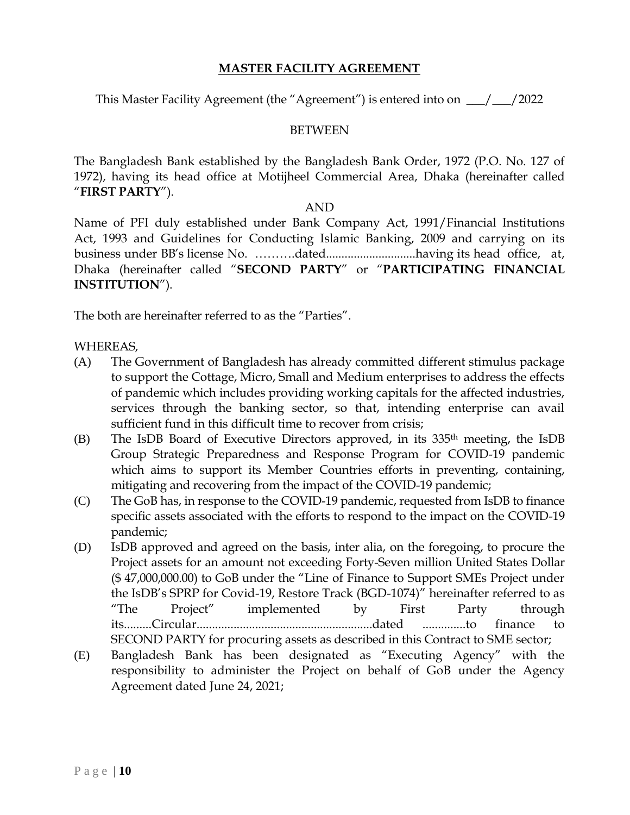## **MASTER FACILITY AGREEMENT**

This Master Facility Agreement (the "Agreement") is entered into on \_\_\_/\_\_\_/2022

#### BETWEEN

The Bangladesh Bank established by the Bangladesh Bank Order, 1972 (P.O. No. 127 of 1972), having its head office at Motijheel Commercial Area, Dhaka (hereinafter called "**FIRST PARTY**").

#### AND

Name of PFI duly established under Bank Company Act, 1991/Financial Institutions Act, 1993 and Guidelines for Conducting Islamic Banking, 2009 and carrying on its business under BB's license No. ……….dated.............................having its head office, at, Dhaka (hereinafter called "**SECOND PARTY**" or "**PARTICIPATING FINANCIAL INSTITUTION**").

The both are hereinafter referred to as the "Parties".

#### WHEREAS,

- (A) The Government of Bangladesh has already committed different stimulus package to support the Cottage, Micro, Small and Medium enterprises to address the effects of pandemic which includes providing working capitals for the affected industries, services through the banking sector, so that, intending enterprise can avail sufficient fund in this difficult time to recover from crisis;
- (B) The IsDB Board of Executive Directors approved, in its 335th meeting, the IsDB Group Strategic Preparedness and Response Program for COVID-19 pandemic which aims to support its Member Countries efforts in preventing, containing, mitigating and recovering from the impact of the COVID-19 pandemic;
- (C) The GoB has, in response to the COVID-19 pandemic, requested from IsDB to finance specific assets associated with the efforts to respond to the impact on the COVID-19 pandemic;
- (D) IsDB approved and agreed on the basis, inter alia, on the foregoing, to procure the Project assets for an amount not exceeding Forty-Seven million United States Dollar (\$ 47,000,000.00) to GoB under the "Line of Finance to Support SMEs Project under the IsDB's SPRP for Covid-19, Restore Track (BGD-1074)" hereinafter referred to as "The Project" implemented by First Party through its.........Circular.........................................................dated ..............to finance to SECOND PARTY for procuring assets as described in this Contract to SME sector;
- (E) Bangladesh Bank has been designated as "Executing Agency" with the responsibility to administer the Project on behalf of GoB under the Agency Agreement dated June 24, 2021;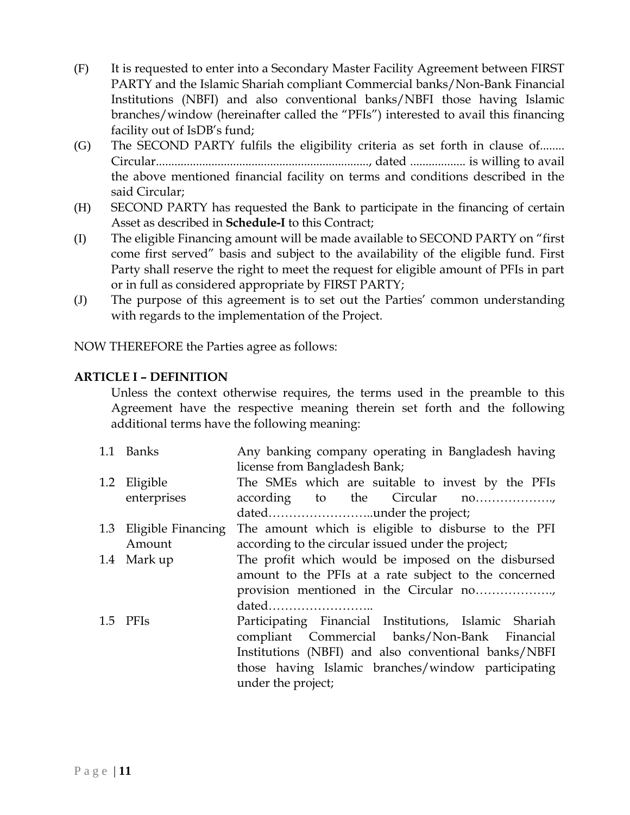- (F) It is requested to enter into a Secondary Master Facility Agreement between FIRST PARTY and the Islamic Shariah compliant Commercial banks/Non-Bank Financial Institutions (NBFI) and also conventional banks/NBFI those having Islamic branches/window (hereinafter called the "PFIs") interested to avail this financing facility out of IsDB's fund;
- (G) The SECOND PARTY fulfils the eligibility criteria as set forth in clause of........ Circular....................................................................., dated .................. is willing to avail the above mentioned financial facility on terms and conditions described in the said Circular;
- (H) SECOND PARTY has requested the Bank to participate in the financing of certain Asset as described in **Schedule-I** to this Contract;
- (I) The eligible Financing amount will be made available to SECOND PARTY on "first come first served" basis and subject to the availability of the eligible fund. First Party shall reserve the right to meet the request for eligible amount of PFIs in part or in full as considered appropriate by FIRST PARTY;
- (J) The purpose of this agreement is to set out the Parties' common understanding with regards to the implementation of the Project.

NOW THEREFORE the Parties agree as follows:

## **ARTICLE I – DEFINITION**

Unless the context otherwise requires, the terms used in the preamble to this Agreement have the respective meaning therein set forth and the following additional terms have the following meaning:

| 1.1 Banks              | Any banking company operating in Bangladesh having<br>license from Bangladesh Bank; |
|------------------------|-------------------------------------------------------------------------------------|
| 1.2 Eligible           | The SMEs which are suitable to invest by the PFIs                                   |
| enterprises            | according to the Circular no                                                        |
|                        |                                                                                     |
| 1.3 Eligible Financing | The amount which is eligible to disburse to the PFI                                 |
| Amount                 | according to the circular issued under the project;                                 |
| 1.4 Mark up            | The profit which would be imposed on the disbursed                                  |
|                        | amount to the PFIs at a rate subject to the concerned                               |
|                        |                                                                                     |
|                        | dated                                                                               |
| 1.5 PFIs               | Participating Financial Institutions, Islamic Shariah                               |
|                        | compliant Commercial banks/Non-Bank Financial                                       |
|                        | Institutions (NBFI) and also conventional banks/NBFI                                |
|                        | those having Islamic branches/window participating                                  |
|                        | under the project;                                                                  |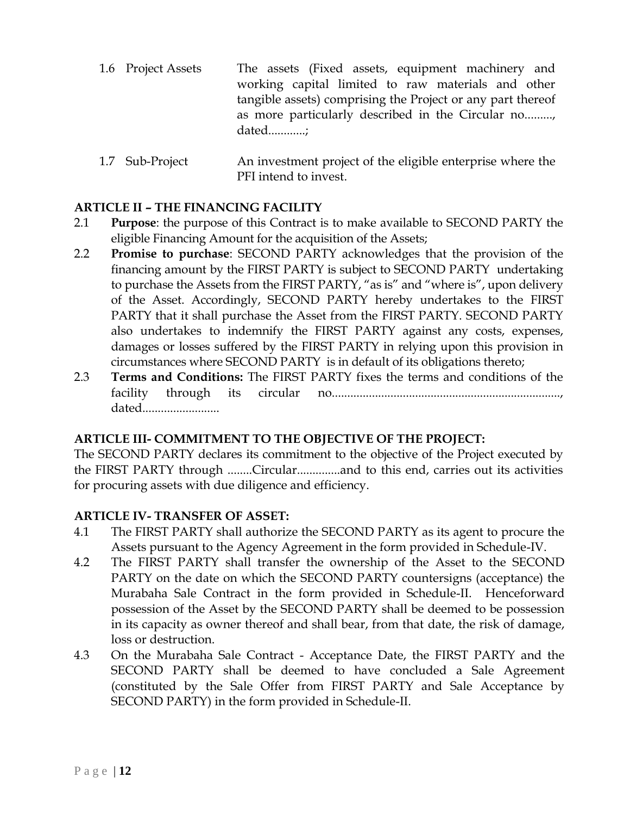- 1.6 Project Assets The assets (Fixed assets, equipment machinery and working capital limited to raw materials and other tangible assets) comprising the Project or any part thereof as more particularly described in the Circular no........., dated............;
- 1.7 Sub-Project An investment project of the eligible enterprise where the PFI intend to invest.

## **ARTICLE II – THE FINANCING FACILITY**

- 2.1 **Purpose**: the purpose of this Contract is to make available to SECOND PARTY the eligible Financing Amount for the acquisition of the Assets;
- 2.2 **Promise to purchase**: SECOND PARTY acknowledges that the provision of the financing amount by the FIRST PARTY is subject to SECOND PARTY undertaking to purchase the Assets from the FIRST PARTY, "as is" and "where is", upon delivery of the Asset. Accordingly, SECOND PARTY hereby undertakes to the FIRST PARTY that it shall purchase the Asset from the FIRST PARTY. SECOND PARTY also undertakes to indemnify the FIRST PARTY against any costs, expenses, damages or losses suffered by the FIRST PARTY in relying upon this provision in circumstances where SECOND PARTY is in default of its obligations thereto;
- 2.3 **Terms and Conditions:** The FIRST PARTY fixes the terms and conditions of the facility through its circular no.........................................................................., dated.........................

## **ARTICLE III- COMMITMENT TO THE OBJECTIVE OF THE PROJECT:**

The SECOND PARTY declares its commitment to the objective of the Project executed by the FIRST PARTY through ........Circular..............and to this end, carries out its activities for procuring assets with due diligence and efficiency.

## **ARTICLE IV- TRANSFER OF ASSET:**

- 4.1 The FIRST PARTY shall authorize the SECOND PARTY as its agent to procure the Assets pursuant to the Agency Agreement in the form provided in Schedule-IV.
- 4.2 The FIRST PARTY shall transfer the ownership of the Asset to the SECOND PARTY on the date on which the SECOND PARTY countersigns (acceptance) the Murabaha Sale Contract in the form provided in Schedule-II. Henceforward possession of the Asset by the SECOND PARTY shall be deemed to be possession in its capacity as owner thereof and shall bear, from that date, the risk of damage, loss or destruction.
- 4.3 On the Murabaha Sale Contract Acceptance Date, the FIRST PARTY and the SECOND PARTY shall be deemed to have concluded a Sale Agreement (constituted by the Sale Offer from FIRST PARTY and Sale Acceptance by SECOND PARTY) in the form provided in Schedule-II.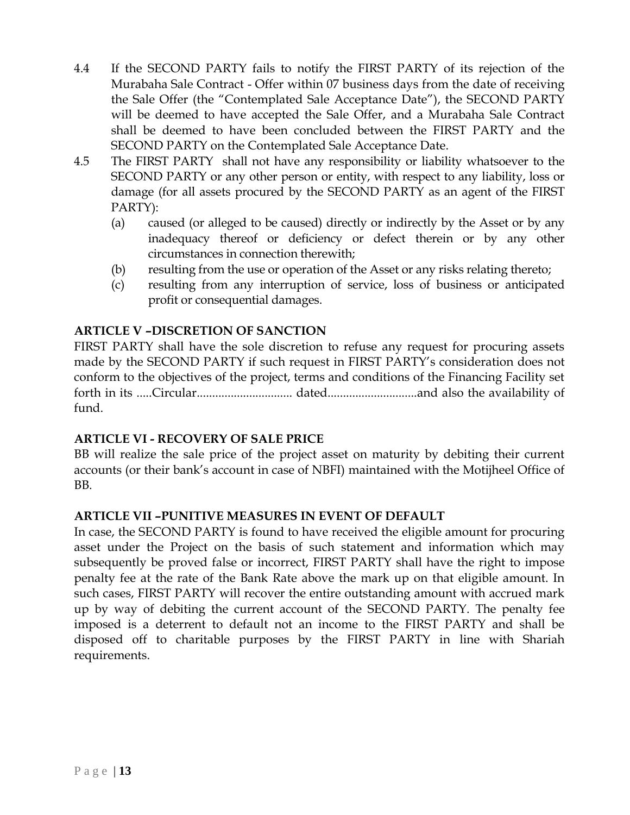- 4.4 If the SECOND PARTY fails to notify the FIRST PARTY of its rejection of the Murabaha Sale Contract - Offer within 07 business days from the date of receiving the Sale Offer (the "Contemplated Sale Acceptance Date"), the SECOND PARTY will be deemed to have accepted the Sale Offer, and a Murabaha Sale Contract shall be deemed to have been concluded between the FIRST PARTY and the SECOND PARTY on the Contemplated Sale Acceptance Date.
- 4.5 The FIRST PARTY shall not have any responsibility or liability whatsoever to the SECOND PARTY or any other person or entity, with respect to any liability, loss or damage (for all assets procured by the SECOND PARTY as an agent of the FIRST PARTY):
	- (a) caused (or alleged to be caused) directly or indirectly by the Asset or by any inadequacy thereof or deficiency or defect therein or by any other circumstances in connection therewith;
	- (b) resulting from the use or operation of the Asset or any risks relating thereto;
	- (c) resulting from any interruption of service, loss of business or anticipated profit or consequential damages.

## **ARTICLE V –DISCRETION OF SANCTION**

FIRST PARTY shall have the sole discretion to refuse any request for procuring assets made by the SECOND PARTY if such request in FIRST PARTY's consideration does not conform to the objectives of the project, terms and conditions of the Financing Facility set forth in its .....Circular............................... dated.............................and also the availability of fund.

## **ARTICLE VI - RECOVERY OF SALE PRICE**

BB will realize the sale price of the project asset on maturity by debiting their current accounts (or their bank's account in case of NBFI) maintained with the Motijheel Office of BB.

## **ARTICLE VII –PUNITIVE MEASURES IN EVENT OF DEFAULT**

In case, the SECOND PARTY is found to have received the eligible amount for procuring asset under the Project on the basis of such statement and information which may subsequently be proved false or incorrect, FIRST PARTY shall have the right to impose penalty fee at the rate of the Bank Rate above the mark up on that eligible amount. In such cases, FIRST PARTY will recover the entire outstanding amount with accrued mark up by way of debiting the current account of the SECOND PARTY. The penalty fee imposed is a deterrent to default not an income to the FIRST PARTY and shall be disposed off to charitable purposes by the FIRST PARTY in line with Shariah requirements.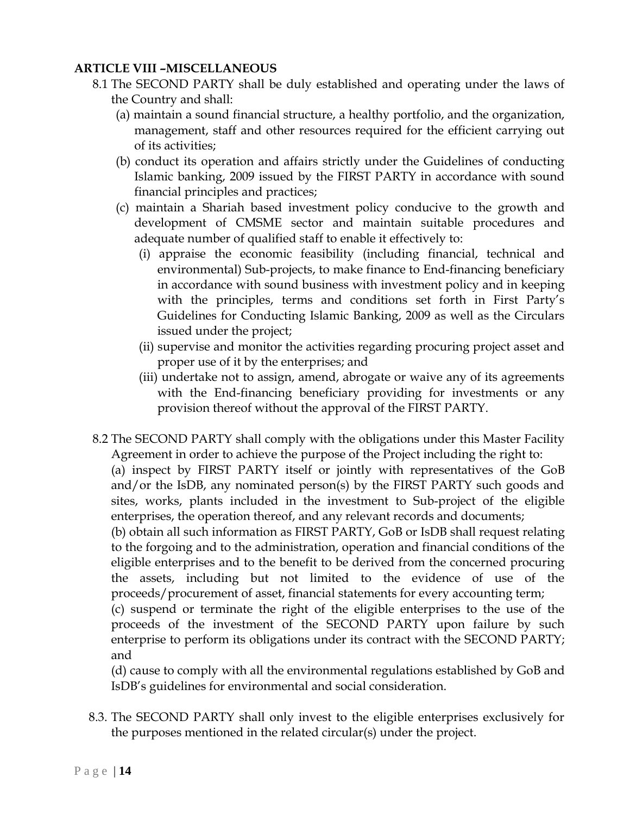## **ARTICLE VIII –MISCELLANEOUS**

- 8.1 The SECOND PARTY shall be duly established and operating under the laws of the Country and shall:
	- (a) maintain a sound financial structure, a healthy portfolio, and the organization, management, staff and other resources required for the efficient carrying out of its activities;
	- (b) conduct its operation and affairs strictly under the Guidelines of conducting Islamic banking, 2009 issued by the FIRST PARTY in accordance with sound financial principles and practices;
	- (c) maintain a Shariah based investment policy conducive to the growth and development of CMSME sector and maintain suitable procedures and adequate number of qualified staff to enable it effectively to:
		- (i) appraise the economic feasibility (including financial, technical and environmental) Sub-projects, to make finance to End-financing beneficiary in accordance with sound business with investment policy and in keeping with the principles, terms and conditions set forth in First Party's Guidelines for Conducting Islamic Banking, 2009 as well as the Circulars issued under the project;
		- (ii) supervise and monitor the activities regarding procuring project asset and proper use of it by the enterprises; and
		- (iii) undertake not to assign, amend, abrogate or waive any of its agreements with the End-financing beneficiary providing for investments or any provision thereof without the approval of the FIRST PARTY.
- 8.2 The SECOND PARTY shall comply with the obligations under this Master Facility Agreement in order to achieve the purpose of the Project including the right to:

(a) inspect by FIRST PARTY itself or jointly with representatives of the GoB and/or the IsDB, any nominated person(s) by the FIRST PARTY such goods and sites, works, plants included in the investment to Sub-project of the eligible enterprises, the operation thereof, and any relevant records and documents;

(b) obtain all such information as FIRST PARTY, GoB or IsDB shall request relating to the forgoing and to the administration, operation and financial conditions of the eligible enterprises and to the benefit to be derived from the concerned procuring the assets, including but not limited to the evidence of use of the proceeds/procurement of asset, financial statements for every accounting term;

(c) suspend or terminate the right of the eligible enterprises to the use of the proceeds of the investment of the SECOND PARTY upon failure by such enterprise to perform its obligations under its contract with the SECOND PARTY; and

(d) cause to comply with all the environmental regulations established by GoB and IsDB's guidelines for environmental and social consideration.

8.3. The SECOND PARTY shall only invest to the eligible enterprises exclusively for the purposes mentioned in the related circular(s) under the project.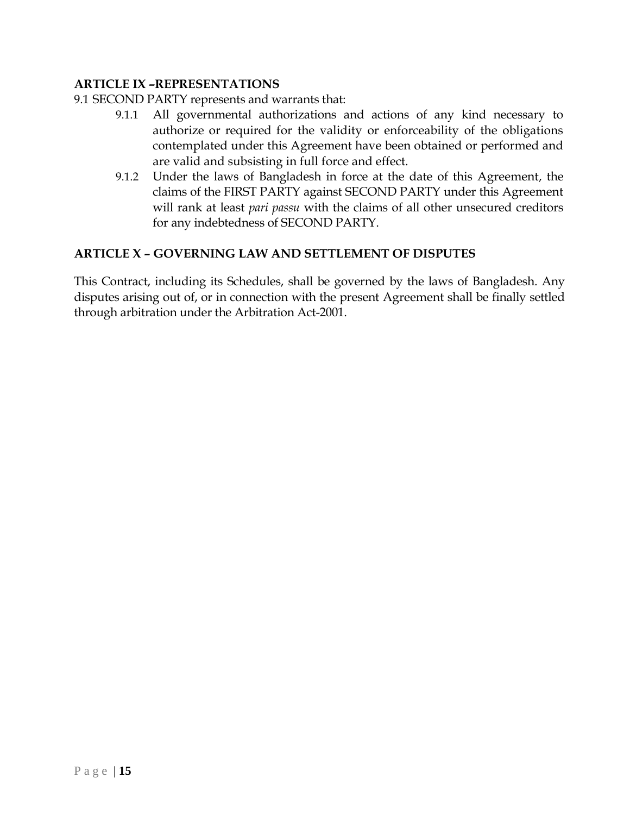## **ARTICLE IX –REPRESENTATIONS**

- 9.1 SECOND PARTY represents and warrants that:
	- 9.1.1 All governmental authorizations and actions of any kind necessary to authorize or required for the validity or enforceability of the obligations contemplated under this Agreement have been obtained or performed and are valid and subsisting in full force and effect.
	- 9.1.2 Under the laws of Bangladesh in force at the date of this Agreement, the claims of the FIRST PARTY against SECOND PARTY under this Agreement will rank at least *pari passu* with the claims of all other unsecured creditors for any indebtedness of SECOND PARTY.

## **ARTICLE X – GOVERNING LAW AND SETTLEMENT OF DISPUTES**

This Contract, including its Schedules, shall be governed by the laws of Bangladesh. Any disputes arising out of, or in connection with the present Agreement shall be finally settled through arbitration under the Arbitration Act-2001.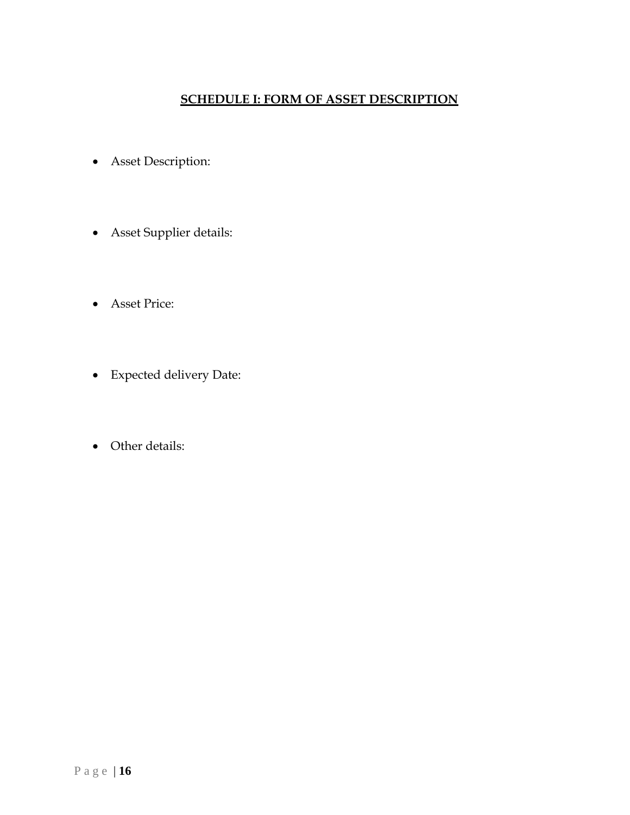## **SCHEDULE I: FORM OF ASSET DESCRIPTION**

- Asset Description:
- Asset Supplier details:
- Asset Price:
- Expected delivery Date:
- Other details: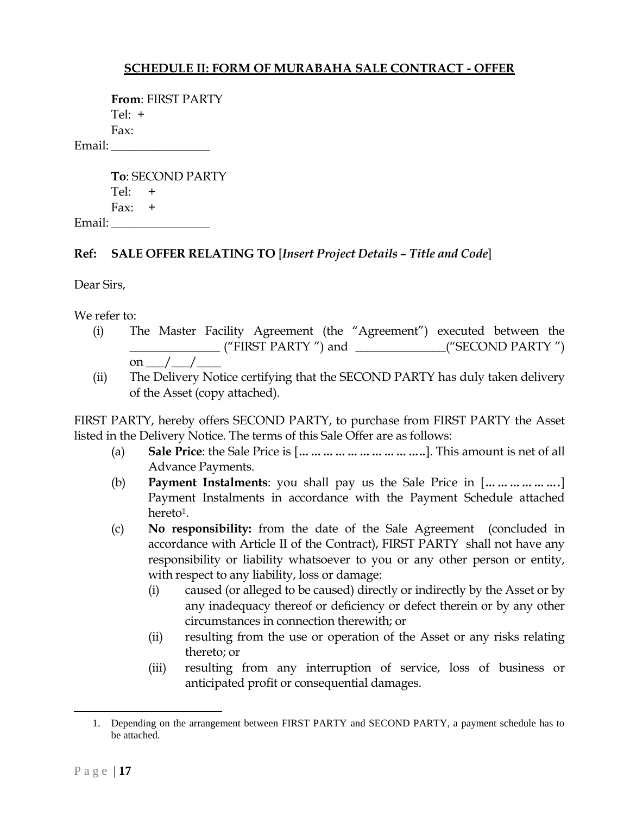## **SCHEDULE II: FORM OF MURABAHA SALE CONTRACT - OFFER**

|        | <b>From: FIRST PARTY</b> |
|--------|--------------------------|
|        | Tel: $+$                 |
|        | Fax:                     |
| Email: |                          |

**To**: SECOND PARTY  $Tel: +$ Fax:  $+$ Email: \_\_\_\_\_\_\_\_\_\_\_\_\_\_\_\_

#### **Ref: SALE OFFER RELATING TO** [*Insert Project Details – Title and Code*]

Dear Sirs,

We refer to:

- (i) The Master Facility Agreement (the "Agreement") executed between the \_\_\_\_\_\_\_\_\_\_\_\_\_\_\_ ("FIRST PARTY ") and \_\_\_\_\_\_\_\_\_\_\_\_\_\_\_("SECOND PARTY ") on  $/$  /
- (ii) The Delivery Notice certifying that the SECOND PARTY has duly taken delivery of the Asset (copy attached).

FIRST PARTY, hereby offers SECOND PARTY, to purchase from FIRST PARTY the Asset listed in the Delivery Notice. The terms of this Sale Offer are as follows:

- (a) **Sale Price**: the Sale Price is [*…………………………..*]. This amount is net of all Advance Payments.
- (b) **Payment Instalments**: you shall pay us the Sale Price in [*……………….*] Payment Instalments in accordance with the Payment Schedule attached hereto<sup>1</sup>.
- (c) **No responsibility:** from the date of the Sale Agreement (concluded in accordance with Article II of the Contract), FIRST PARTY shall not have any responsibility or liability whatsoever to you or any other person or entity, with respect to any liability, loss or damage:
	- (i) caused (or alleged to be caused) directly or indirectly by the Asset or by any inadequacy thereof or deficiency or defect therein or by any other circumstances in connection therewith; or
	- (ii) resulting from the use or operation of the Asset or any risks relating thereto; or
	- (iii) resulting from any interruption of service, loss of business or anticipated profit or consequential damages.

 $\overline{a}$ 

<sup>1.</sup> Depending on the arrangement between FIRST PARTY and SECOND PARTY, a payment schedule has to be attached.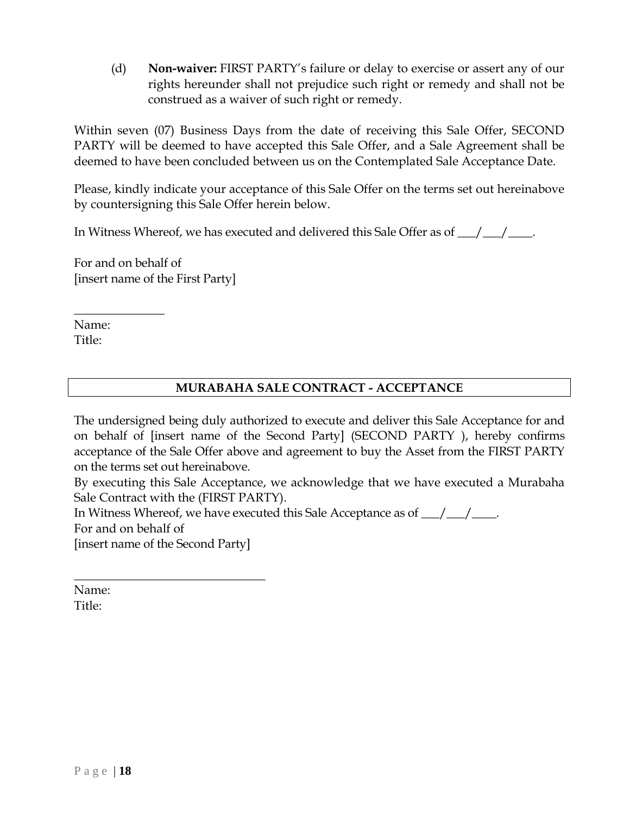(d) **Non-waiver:** FIRST PARTY's failure or delay to exercise or assert any of our rights hereunder shall not prejudice such right or remedy and shall not be construed as a waiver of such right or remedy.

Within seven (07) Business Days from the date of receiving this Sale Offer, SECOND PARTY will be deemed to have accepted this Sale Offer, and a Sale Agreement shall be deemed to have been concluded between us on the Contemplated Sale Acceptance Date.

Please, kindly indicate your acceptance of this Sale Offer on the terms set out hereinabove by countersigning this Sale Offer herein below.

In Witness Whereof, we has executed and delivered this Sale Offer as of  $\frac{1}{\sqrt{2}}$ 

For and on behalf of [insert name of the First Party]

 $\overline{\phantom{a}}$  , where  $\overline{\phantom{a}}$  , where  $\overline{\phantom{a}}$  , where  $\overline{\phantom{a}}$ 

Name: Title:

 $\overline{\phantom{a}}$  , where  $\overline{\phantom{a}}$ 

## **MURABAHA SALE CONTRACT - ACCEPTANCE**

The undersigned being duly authorized to execute and deliver this Sale Acceptance for and on behalf of [insert name of the Second Party] (SECOND PARTY ), hereby confirms acceptance of the Sale Offer above and agreement to buy the Asset from the FIRST PARTY on the terms set out hereinabove.

By executing this Sale Acceptance, we acknowledge that we have executed a Murabaha Sale Contract with the (FIRST PARTY).

In Witness Whereof, we have executed this Sale Acceptance as of  $\frac{1}{\sqrt{2}}$ For and on behalf of [insert name of the Second Party]

Name: Title: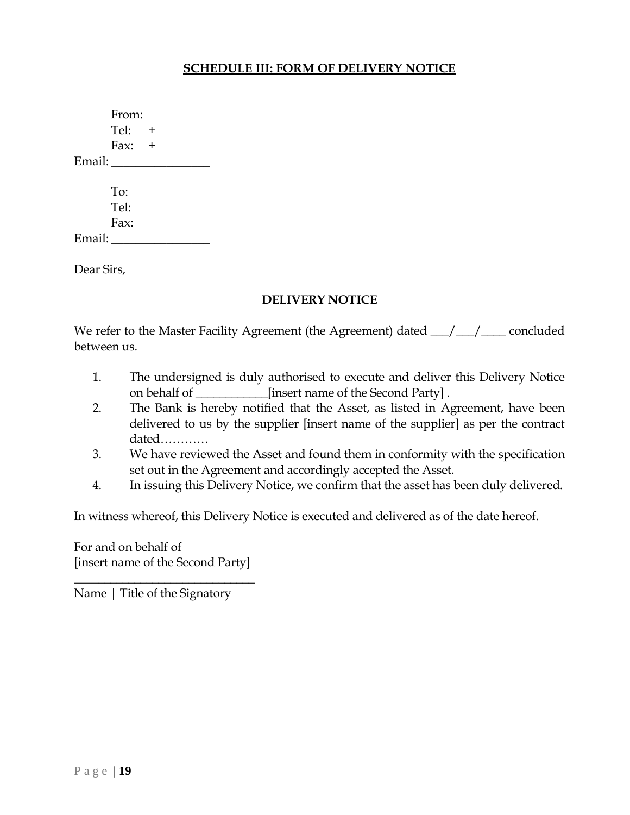#### **SCHEDULE III: FORM OF DELIVERY NOTICE**

From: Tel:  $+$ Fax:  $+$ Email: To: Tel: Fax: Email:

Dear Sirs,

#### **DELIVERY NOTICE**

We refer to the Master Facility Agreement (the Agreement) dated  $\frac{1}{\sqrt{2}}$  concluded between us.

- 1. The undersigned is duly authorised to execute and deliver this Delivery Notice on behalf of \_\_\_\_\_\_\_\_\_\_\_\_[insert name of the Second Party] .
- 2. The Bank is hereby notified that the Asset, as listed in Agreement, have been delivered to us by the supplier [insert name of the supplier] as per the contract dated…………
- 3. We have reviewed the Asset and found them in conformity with the specification set out in the Agreement and accordingly accepted the Asset.
- 4. In issuing this Delivery Notice, we confirm that the asset has been duly delivered.

In witness whereof, this Delivery Notice is executed and delivered as of the date hereof.

For and on behalf of [insert name of the Second Party]

\_\_\_\_\_\_\_\_\_\_\_\_\_\_\_\_\_\_\_\_\_\_\_\_\_\_\_\_\_\_

Name | Title of the Signatory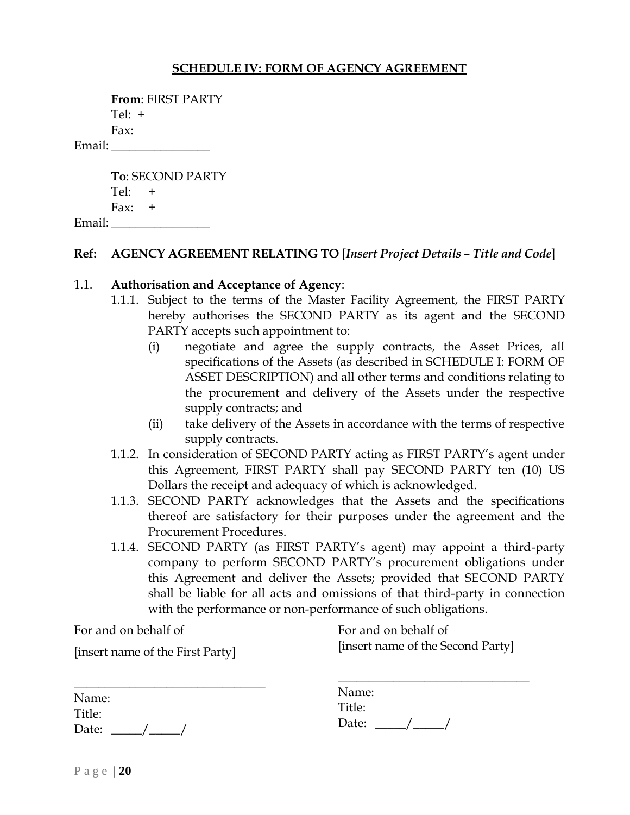## **SCHEDULE IV: FORM OF AGENCY AGREEMENT**

| From: FIRST PARTY |  |
|-------------------|--|
| Tel: $+$          |  |
| Fax:              |  |
| Email:            |  |

|          | <b>To: SECOND PARTY</b> |
|----------|-------------------------|
| $Tel: +$ |                         |
| Fax: $+$ |                         |
| Email:   |                         |

#### **Ref: AGENCY AGREEMENT RELATING TO** [*Insert Project Details – Title and Code*]

#### 1.1. **Authorisation and Acceptance of Agency**:

- 1.1.1. Subject to the terms of the Master Facility Agreement, the FIRST PARTY hereby authorises the SECOND PARTY as its agent and the SECOND PARTY accepts such appointment to:
	- (i) negotiate and agree the supply contracts, the Asset Prices, all specifications of the Assets (as described in SCHEDULE I: FORM OF ASSET DESCRIPTION) and all other terms and conditions relating to the procurement and delivery of the Assets under the respective supply contracts; and
	- (ii) take delivery of the Assets in accordance with the terms of respective supply contracts.
- 1.1.2. In consideration of SECOND PARTY acting as FIRST PARTY's agent under this Agreement, FIRST PARTY shall pay SECOND PARTY ten (10) US Dollars the receipt and adequacy of which is acknowledged.
- 1.1.3. SECOND PARTY acknowledges that the Assets and the specifications thereof are satisfactory for their purposes under the agreement and the Procurement Procedures.
- 1.1.4. SECOND PARTY (as FIRST PARTY's agent) may appoint a third-party company to perform SECOND PARTY's procurement obligations under this Agreement and deliver the Assets; provided that SECOND PARTY shall be liable for all acts and omissions of that third-party in connection with the performance or non-performance of such obligations.

For and on behalf of

[insert name of the First Party]

For and on behalf of [insert name of the Second Party]

 $\overline{\phantom{a}}$  , where  $\overline{\phantom{a}}$  , where  $\overline{\phantom{a}}$  , where  $\overline{\phantom{a}}$ 

| Name:  |  |  |
|--------|--|--|
| Title: |  |  |
| Date:  |  |  |

| Name:  |  |
|--------|--|
| Title: |  |
| Date:  |  |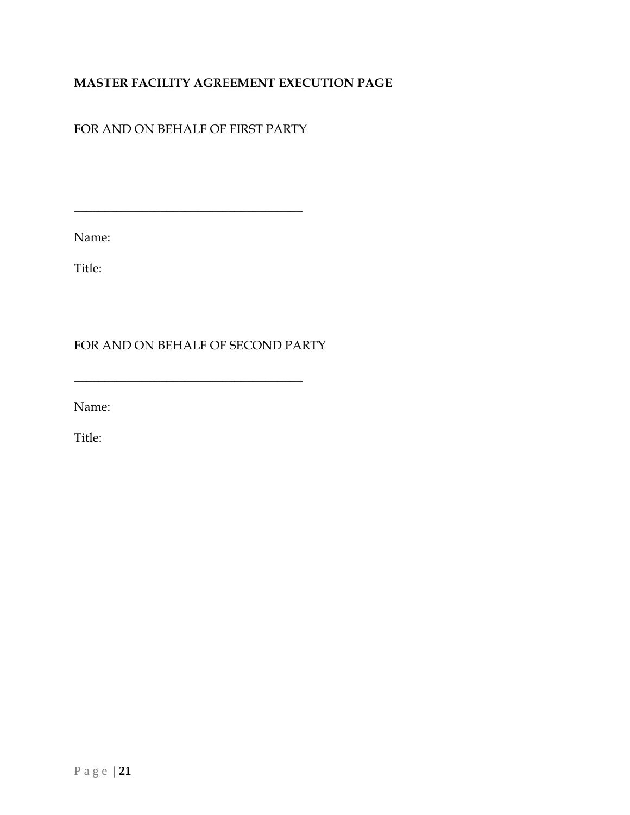## **MASTER FACILITY AGREEMENT EXECUTION PAGE**

## FOR AND ON BEHALF OF FIRST PARTY

 $\overline{\phantom{a}}$  , and the contract of the contract of the contract of  $\overline{\phantom{a}}$ 

Name:

Title:

FOR AND ON BEHALF OF SECOND PARTY

 $\_$ 

Name:

Title: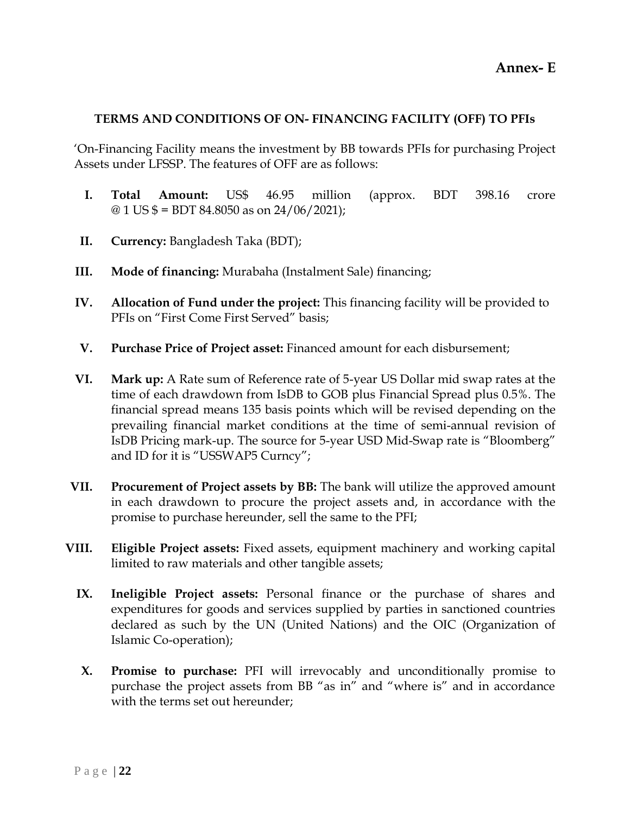#### **TERMS AND CONDITIONS OF ON- FINANCING FACILITY (OFF) TO PFIs**

'On-Financing Facility means the investment by BB towards PFIs for purchasing Project Assets under LFSSP. The features of OFF are as follows:

- **I. Total Amount:** US\$ 46.95 million (approx. BDT 398.16 crore  $\omega$  1 US \$ = BDT 84.8050 as on 24/06/2021);
- **II. Currency:** Bangladesh Taka (BDT);
- **III. Mode of financing:** Murabaha (Instalment Sale) financing;
- **IV. Allocation of Fund under the project:** This financing facility will be provided to PFIs on "First Come First Served" basis;
- **V. Purchase Price of Project asset:** Financed amount for each disbursement;
- **VI. Mark up:** A Rate sum of Reference rate of 5-year US Dollar mid swap rates at the time of each drawdown from IsDB to GOB plus Financial Spread plus 0.5%. The financial spread means 135 basis points which will be revised depending on the prevailing financial market conditions at the time of semi-annual revision of IsDB Pricing mark-up. The source for 5-year USD Mid-Swap rate is "Bloomberg" and ID for it is "USSWAP5 Curncy";
- **VII. Procurement of Project assets by BB:** The bank will utilize the approved amount in each drawdown to procure the project assets and, in accordance with the promise to purchase hereunder, sell the same to the PFI;
- **VIII. Eligible Project assets:** Fixed assets, equipment machinery and working capital limited to raw materials and other tangible assets;
	- **IX. Ineligible Project assets:** Personal finance or the purchase of shares and expenditures for goods and services supplied by parties in sanctioned countries declared as such by the UN (United Nations) and the OIC (Organization of Islamic Co-operation);
	- **X. Promise to purchase:** PFI will irrevocably and unconditionally promise to purchase the project assets from BB "as in" and "where is" and in accordance with the terms set out hereunder;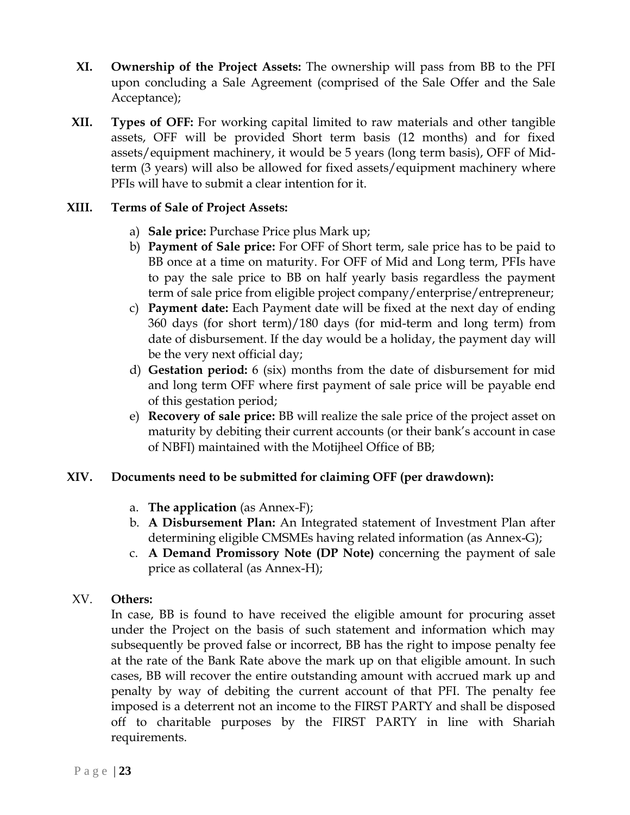- **XI. Ownership of the Project Assets:** The ownership will pass from BB to the PFI upon concluding a Sale Agreement (comprised of the Sale Offer and the Sale Acceptance);
- **XII. Types of OFF:** For working capital limited to raw materials and other tangible assets, OFF will be provided Short term basis (12 months) and for fixed assets/equipment machinery, it would be 5 years (long term basis), OFF of Midterm (3 years) will also be allowed for fixed assets/equipment machinery where PFIs will have to submit a clear intention for it.

## **XIII. Terms of Sale of Project Assets:**

- a) **Sale price:** Purchase Price plus Mark up;
- b) **Payment of Sale price:** For OFF of Short term, sale price has to be paid to BB once at a time on maturity. For OFF of Mid and Long term, PFIs have to pay the sale price to BB on half yearly basis regardless the payment term of sale price from eligible project company/enterprise/entrepreneur;
- c) **Payment date:** Each Payment date will be fixed at the next day of ending 360 days (for short term)/180 days (for mid-term and long term) from date of disbursement. If the day would be a holiday, the payment day will be the very next official day;
- d) **Gestation period:** 6 (six) months from the date of disbursement for mid and long term OFF where first payment of sale price will be payable end of this gestation period;
- e) **Recovery of sale price:** BB will realize the sale price of the project asset on maturity by debiting their current accounts (or their bank's account in case of NBFI) maintained with the Motijheel Office of BB;

## **XIV. Documents need to be submitted for claiming OFF (per drawdown):**

- a. **The application** (as Annex-F);
- b. **A Disbursement Plan:** An Integrated statement of Investment Plan after determining eligible CMSMEs having related information (as Annex-G);
- c. **A Demand Promissory Note (DP Note)** concerning the payment of sale price as collateral (as Annex-H);

#### XV. **Others:**

In case, BB is found to have received the eligible amount for procuring asset under the Project on the basis of such statement and information which may subsequently be proved false or incorrect, BB has the right to impose penalty fee at the rate of the Bank Rate above the mark up on that eligible amount. In such cases, BB will recover the entire outstanding amount with accrued mark up and penalty by way of debiting the current account of that PFI. The penalty fee imposed is a deterrent not an income to the FIRST PARTY and shall be disposed off to charitable purposes by the FIRST PARTY in line with Shariah requirements.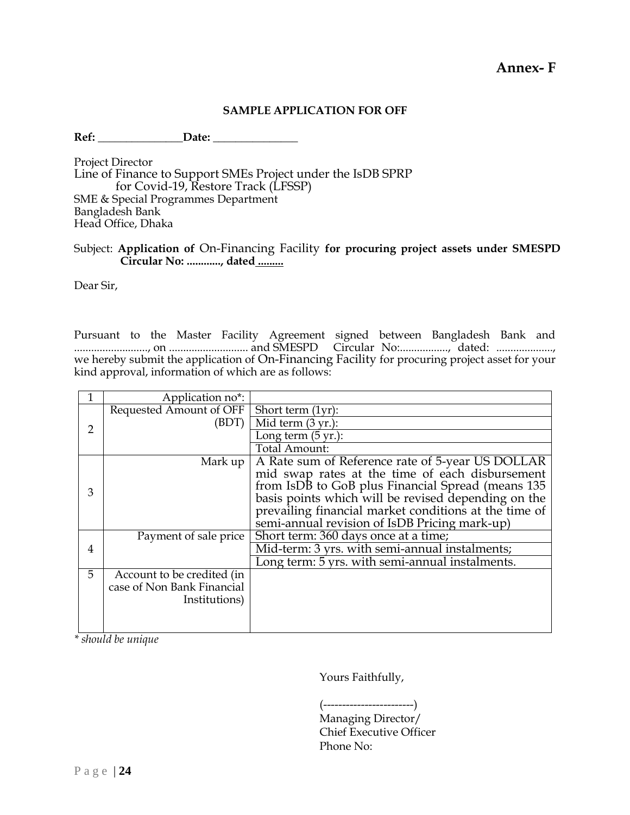#### **SAMPLE APPLICATION FOR OFF**

Ref: Date:

Project Director Line of Finance to Support SMEs Project under the IsDB SPRP for Covid-19, Restore Track (LFSSP) SME & Special Programmes Department Bangladesh Bank Head Office, Dhaka

#### Subject: **Application of** On-Financing Facility **for procuring project assets under SMESPD Circular No: ............, dated .........**

Dear Sir,

Pursuant to the Master Facility Agreement signed between Bangladesh Bank and .........................., on ............................ and SMESPD Circular No:................., dated: ...................., we hereby submit the application of On-Financing Facility for procuring project asset for your kind approval, information of which are as follows:

|   | Application no*:           |                                                              |
|---|----------------------------|--------------------------------------------------------------|
|   | Requested Amount of OFF    | Short term $(1yr)$ :                                         |
| 2 | (BDT)                      | Mid term (3 yr.):                                            |
|   |                            | Long term $(5 yr.)$ :                                        |
|   |                            | <b>Total Amount:</b>                                         |
|   | Mark up                    | A Rate sum of Reference rate of 5-year US DOLLAR             |
|   |                            | mid swap rates at the time of each disbursement              |
| 3 |                            | from IsDB to GoB plus Financial Spread (means 135)           |
|   |                            | basis points which will be revised depending on the          |
|   |                            | prevailing financial market conditions at the time of        |
|   |                            | semi-annual revision of IsDB Pricing mark-up)                |
|   | Payment of sale price      | Short term: 360 days once at a time;                         |
| 4 |                            | Mid-term: 3 yrs. with semi-annual instalments;               |
|   |                            | Long term: $\overline{5}$ yrs. with semi-annual instalments. |
| 5 | Account to be credited (in |                                                              |
|   | case of Non Bank Financial |                                                              |
|   | Institutions)              |                                                              |
|   |                            |                                                              |
|   |                            |                                                              |

*\* should be unique* 

Yours Faithfully,

(------------------------)

Managing Director/ Chief Executive Officer Phone No: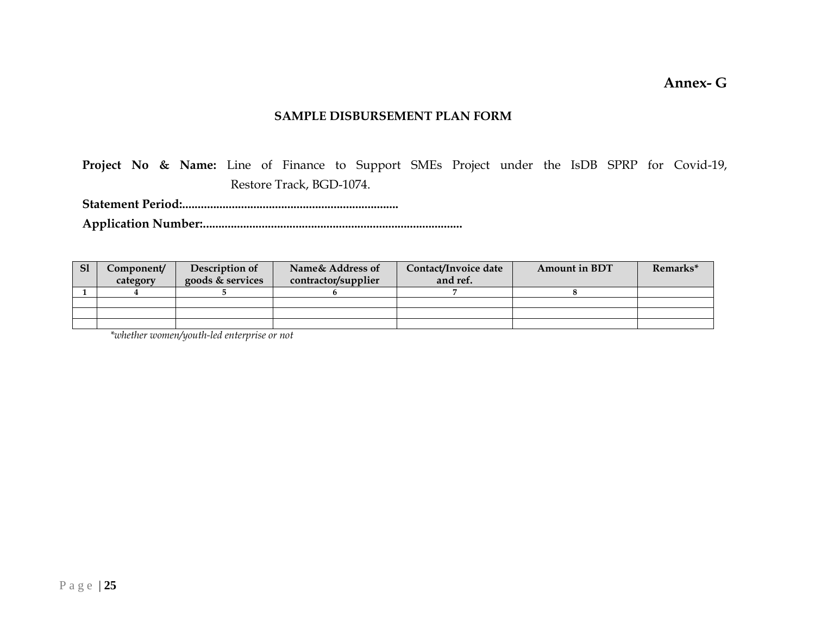**Annex- G**

#### **SAMPLE DISBURSEMENT PLAN FORM**

**Project No & Name:** Line of Finance to Support SMEs Project under the IsDB SPRP for Covid-19, Restore Track, BGD-1074.

**Statement Period:......................................................................**

**Application Number:....................................................................................**

| S <sub>1</sub> | C <b>omponent/</b><br>category | Description of<br>goods & services | Name& Address of<br>contractor/supplier | Contact/Invoice date<br>and ref. | <b>Amount in BDT</b> | Remarks* |
|----------------|--------------------------------|------------------------------------|-----------------------------------------|----------------------------------|----------------------|----------|
|                |                                |                                    |                                         |                                  |                      |          |
|                |                                |                                    |                                         |                                  |                      |          |
|                |                                |                                    |                                         |                                  |                      |          |
|                |                                |                                    |                                         |                                  |                      |          |

*\*whether women/youth-led enterprise or not*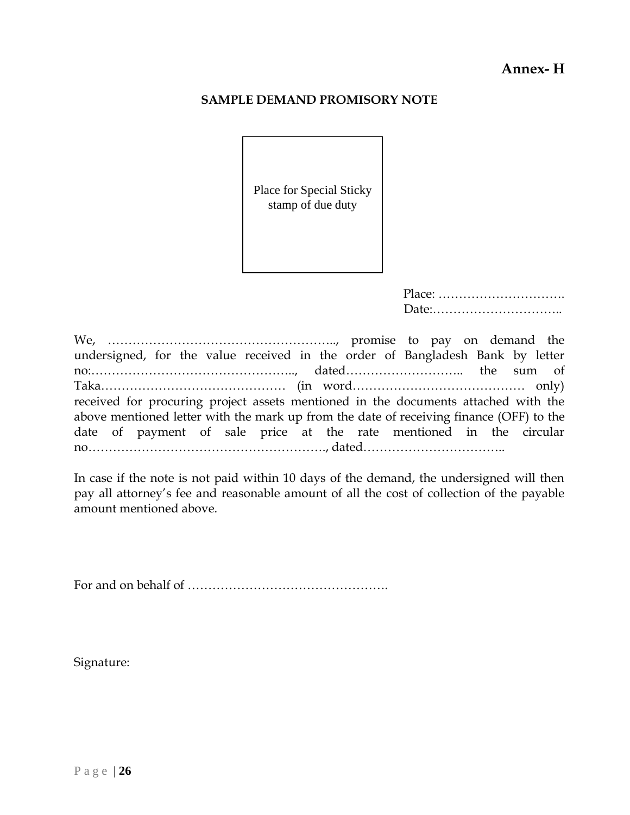## **Annex- H**

#### **SAMPLE DEMAND PROMISORY NOTE**

Place for Special Sticky stamp of due duty

We, ……………………………………………….., promise to pay on demand the undersigned, for the value received in the order of Bangladesh Bank by letter no:………………………………………….., dated……………………….. the sum of Taka……………………………………… (in word…………………………………… only) received for procuring project assets mentioned in the documents attached with the above mentioned letter with the mark up from the date of receiving finance (OFF) to the date of payment of sale price at the rate mentioned in the circular no…………………………………………………., dated……………………………..

In case if the note is not paid within 10 days of the demand, the undersigned will then pay all attorney's fee and reasonable amount of all the cost of collection of the payable amount mentioned above.

For and on behalf of ………………………………………….

Signature: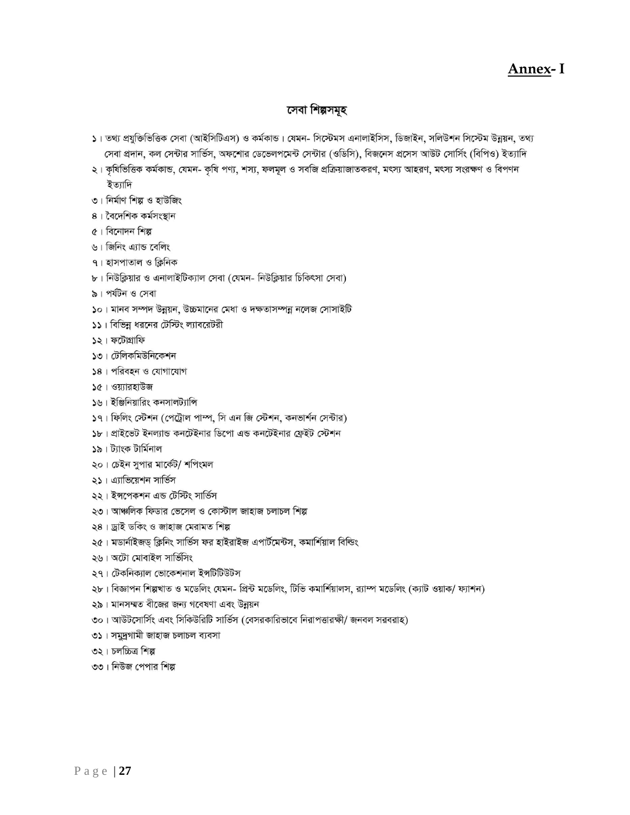## **Annex- I**

#### সেবা শিল্পসমূহ

- ১। তথ্য প্রযুক্তিত্তিক সেবা (আইসিটিএস) ও কর্মকান্ড। যেমন- সিস্টেমস এনালাইসিস, ডিজাইন, সলিউশন সিস্টেম উন্নয়ন, তথ্য সেবা প্রদান, কল সেন্টার সার্ভিস, অফশোর ডেভেলপমেন্ট সেন্টার (ওডিসি), বিজনেস প্রসেস আউট সোর্সিং (বিপিও) ইত্যাদি
- ২। কৃষিভিত্তিক কর্মকান্ড, যেমন- কৃষি পণ্য, শস্য, ফলমূল ও সবজি প্রক্রিয়াজাতকরণ, মৎস্য আহরণ, মৎস্য সংরক্ষণ ও বিপণন ইত্যাদি
- ৩। নিৰ্মাণ শিল্প ও হাউজিং
- ৪। বৈদেশিক কৰ্মসংস্থান
- ৫। বিনোদন শিল্প
- ৬। জিনিং এ্যান্ড বেলিং
- ৭। হাসপাতাল ও ক্লিনিক
- ৮। নিউক্লিয়ার ও এনালাইটিক্যাল সেবা (যেমন- নিউক্লিয়ার চিকিৎসা সেবা)
- ৯। পৰ্যটন ও সেবা
- ১০। মানব সম্পদ উন্নয়ন, উচ্চমানের মেধা ও দক্ষতাসম্পন্ন নলেজ সোসাইটি
- ১১। বিভিন্ন ধরনের টেস্টিং ল্যাবরেটরী
- ১২। ফটোগ্রাফি
- ১৩। টেলিকমিউনিকেশন
- ১৪। পরিবহন ও যোগাযোগ
- ১৫। ওয়্যারহাউজ
- ১৬। ইঞ্জিনিয়ারিং কনসালট্যান্সি
- ১৭। ফিলিং স্টেশন (পেট্রোল পাম্প, সি এন জি স্টেশন, কনভার্শন সেন্টার)
- ১৮। প্রাইভেট ইনল্যান্ড কনটেইনার ডিপো এন্ড কনটেইনার ফ্রেইট স্টেশন
- ১৯। ট্যাংক টাৰ্মিনাল
- ২০। চেইন সুপার মার্কেট/ শপিংমল
- ২১। এ্যাভিয়েশন সার্ভিস
- ২২। ইন্সপেকশন এন্ড টেস্টিং সার্ভিস
- ২৩। আঞ্চলিক ফিডার ভেসেল ও কোস্টাল জাহাজ চলাচল শিল্প
- ২৪। ড্ৰাই ডকিং ও জাহাজ মেরামত শিল্প
- ২৫। মডার্নাইজড় ক্লিনিং সার্ভিস ফর হাইরাইজ এপার্টমেন্টস, কমার্শিয়াল বিল্ডিং
- ২৬। অটো মোবাইল সার্ভিসিং
- ২৭। টেকনিক্যাল ভোকেশনাল ইন্সটিটিউটস
- ২৮। বিজ্ঞাপন শিল্পখাত ও মডেলিং যেমন- প্রিন্ট মডেলিং, টিভি কমার্শিয়ালস, র্য়াম্প মডেলিং (ক্যাট ওয়াক/ ফ্যাশন)
- ২৯। মানসম্মত বীজের জন্য গবেষণা এবং উন্নয়ন
- ৩০। আউটসোর্সিং এবং সিকিউরিটি সার্ভিস (বেসরকারিভাবে নিরাপত্তারক্ষী/ জনবল সরবরাহ)
- ৩১। সমুদ্রগামী জাহাজ চলাচল ব্যবসা
- ৩২। চলচ্চিত্র শিল্প
- ৩৩। নিউজ পেপার শিল্প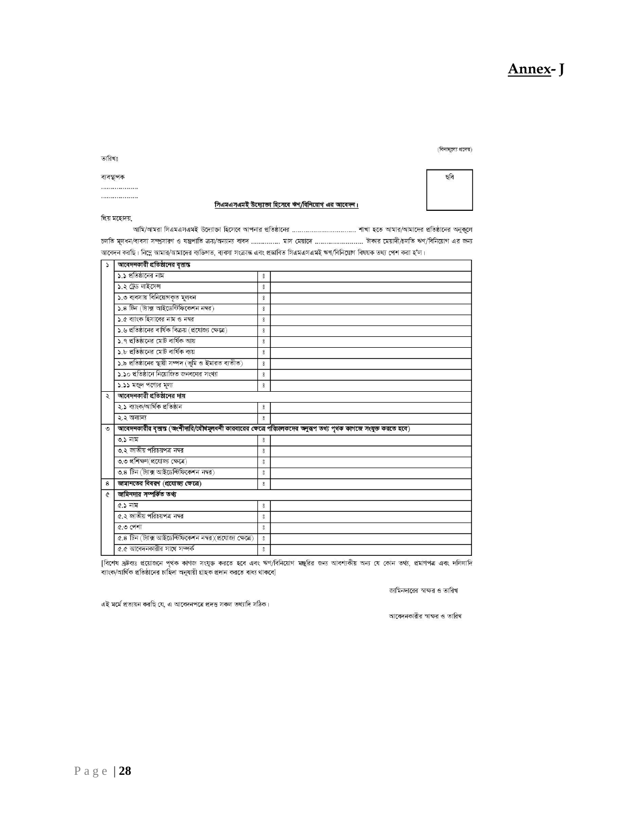#### ১.১ প্রতিষ্ঠানের নাম ১.২ ট্রেড লাইসেন্স  $\boldsymbol{8}$ ১.৩ ব্যবসায় বিনিয়োগকৃত মূলধন  $\frac{8}{2}$ ১.৪ টিন (ট্যাক্স আইডেন্টিফিকেশন নম্বর)  $\rm ^{\circ}$ ১.৫ ব্যাংক হিসাবের নাম ও নম্বর  $\,$  8 ১.৬ প্রতিষ্ঠানের বার্ষিক বিক্রয় (প্রযোজ্য ক্ষেত্রে)  $\,$  8 ১.৭ প্রতিষ্ঠানের মোট বার্ষিক আয়  $\,$  8  $\,$ ১.৮ প্রতিষ্ঠানের মোট বার্ষিক ব্যয়  $\rm ^{8}$ ১.৯ প্রতিষ্ঠানের স্থায়ী সম্পদ (ভূমি ও ইমারত ব্যতীত)  $\circ$ ১.১০ প্রতিষ্ঠানে নিয়োজিত জনবলের সংখ্যা  $\rm ^{8}$ ১.১১ মজুদ পণ্যের মূল্য  $\,$  8 ২ | আবেদনকারী প্রতিষ্ঠানের দায় ২.১ ব্যাংক/আৰ্থিক প্ৰতিষ্ঠান  $\circ$ ২.২ অন্যান্য  $\rm ^{8}$ ৩ | আবেদনকারীর বৃত্তান্ত (অংশীদারি/যৌধমূলধনী কারবারের ক্ষেত্রে পরিচালকদের অনুরূপ তথ্য পৃথক কাগজে সংযুক্ত করতে হবে) ৩.১ নাম ৩.২ জাতীয় পরিচয়পত্র নম্বর  $\rm ^{\circ}$ ৩.৩ প্ৰশিক্ষণ(প্ৰযোজ্য ক্ষেত্ৰে)  $\delta$ ৩.৪ টিন (ট্যাক্স আইডেন্টিফিকেশন নম্বর)  $\delta$ জামানতের বিবরণ (প্রযোজ্য ক্ষেত্রে)  $\bf{8}$  $\circ$ জামিনদার সম্পর্কিত তথ্য  $\mathfrak{C}$ ৫.১ নাম  $\rm ^{\circ}$ ৫.২ জাতীয় পরিচয়পত্র নম্বর  $\circ$ ৫.৩ পেশা  $\delta$ ৫.৪ টিন (ট্যাক্স আইডেন্টিফিকেশন নম্বর)(প্রযোজ্য ক্ষেত্রে)  $\,$  8

[বিশেষ দ্রষ্টব্যঃ প্রয়োজনে পৃথক কাগজ সংযুক্ত করতে হবে এবং ঋণ/বিনিয়োগ মঞ্ছুরির জন্য আবশ্যকীয় অন্য যে কোন তথ্য, প্রমাণপত্র এবং দলিলাদি

<mark>১ | আবেদনকারী প্রতিষ্ঠানের বৃত্তান্ত</mark>

 $\tilde{z}$ 

আমি/আমরা সিএমএসএমই উদ্যোক্তা হিসেবে আপনার প্রতিষ্ঠানের ……………………………. শাখা হতে আমার/আমাদের প্রতিষ্ঠানের অনুকূলে চলতি মূলধন/ব্যবসা সম্প্রসারণ ও যন্ত্রপাতি ক্রয়/অন্যান্য বাবদ …………… মাস মেয়াদে …………………… টাকার মেয়াদী/চলতি ঋণ/বিনিয়োগ এর জন্য আবেদন করছি। নিম্নে আমার/আমাদের ব্যক্তিগত, ব্যবসা সংক্রান্ত এবং প্রস্তাবিত সিএমএসএমই ঋণ/বিনিয়োগ বিষয়ক তথ্য পেশ করা হ'ল।

সিএমএসএমই উদ্যোক্তা হিসেবে ঋণ/বিনিয়োগ এর আবেদন।

**Annex- J**

(বিনামুল্যে প্রদেয়) ছবি

জামিনদারের স্বাক্ষর ও তারিখ আবেদনকারীর স্বাক্ষর ও তারিখ

এই মৰ্মে প্ৰত্যয়ন করছি যে, এ আবেদনপত্রে প্রদত্ত সকল তথ্যাদি সঠিক।

ব্যাংক/আৰ্থিক প্ৰতিষ্ঠানের চাহিদা অনুযায়ী গ্রাহক প্রদান করতে বাধ্য থাকবে]

৫.৫ আবেদনকারীর সাথে সম্পর্ক

প্রিয় মহোদয়,

ব্যবস্থাপক ...... ...................

তারিখঃ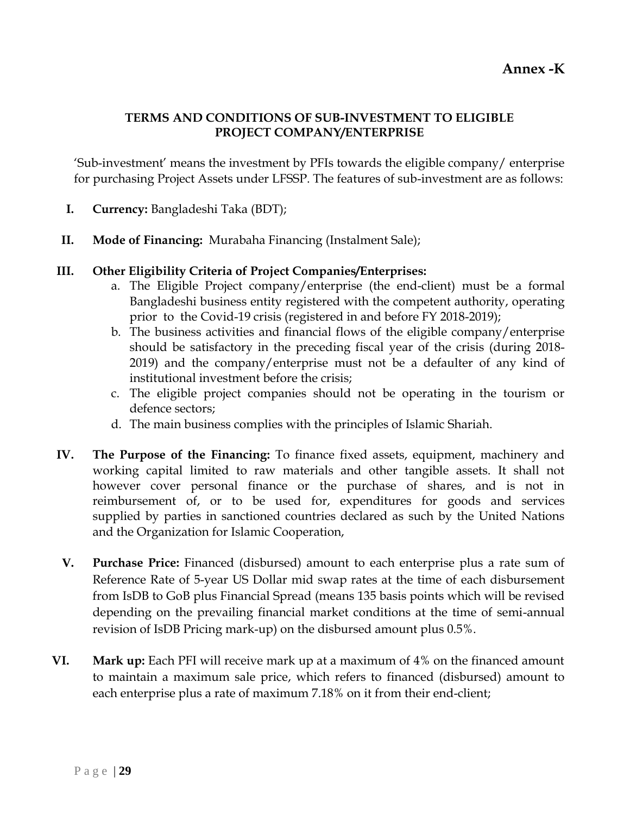## **TERMS AND CONDITIONS OF SUB-INVESTMENT TO ELIGIBLE PROJECT COMPANY/ENTERPRISE**

'Sub-investment' means the investment by PFIs towards the eligible company/ enterprise for purchasing Project Assets under LFSSP. The features of sub-investment are as follows:

- **I. Currency:** Bangladeshi Taka (BDT);
- **II. Mode of Financing:** Murabaha Financing (Instalment Sale);
- **III. Other Eligibility Criteria of Project Companies/Enterprises:**
	- a. The Eligible Project company/enterprise (the end-client) must be a formal Bangladeshi business entity registered with the competent authority, operating prior to the Covid-19 crisis (registered in and before FY 2018-2019);
	- b. The business activities and financial flows of the eligible company/enterprise should be satisfactory in the preceding fiscal year of the crisis (during 2018- 2019) and the company/enterprise must not be a defaulter of any kind of institutional investment before the crisis;
	- c. The eligible project companies should not be operating in the tourism or defence sectors;
	- d. The main business complies with the principles of Islamic Shariah.
- **IV. The Purpose of the Financing:** To finance fixed assets, equipment, machinery and working capital limited to raw materials and other tangible assets. It shall not however cover personal finance or the purchase of shares, and is not in reimbursement of, or to be used for, expenditures for goods and services supplied by parties in sanctioned countries declared as such by the United Nations and the Organization for Islamic Cooperation,
- **V. Purchase Price:** Financed (disbursed) amount to each enterprise plus a rate sum of Reference Rate of 5-year US Dollar mid swap rates at the time of each disbursement from IsDB to GoB plus Financial Spread (means 135 basis points which will be revised depending on the prevailing financial market conditions at the time of semi-annual revision of IsDB Pricing mark-up) on the disbursed amount plus 0.5%.
- **VI. Mark up:** Each PFI will receive mark up at a maximum of 4% on the financed amount to maintain a maximum sale price, which refers to financed (disbursed) amount to each enterprise plus a rate of maximum 7.18% on it from their end-client;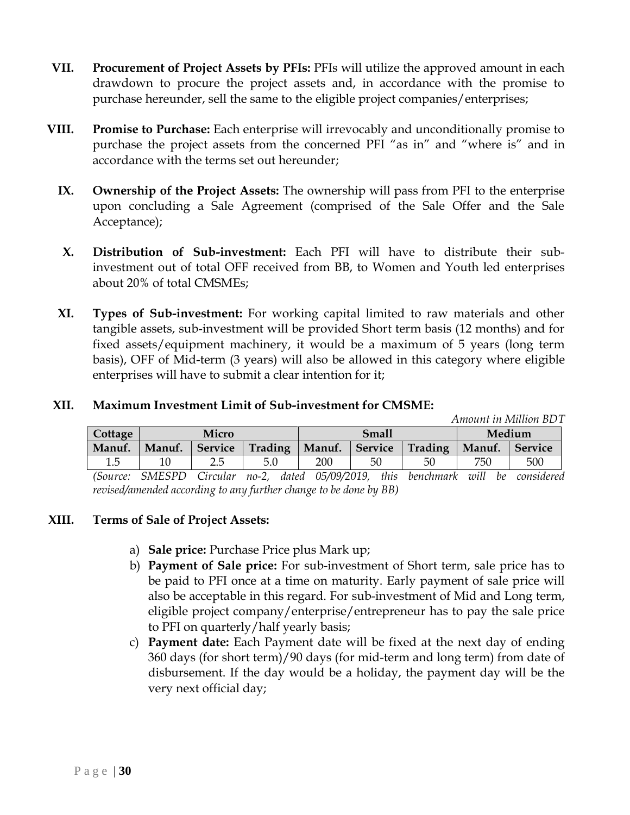- **VII. Procurement of Project Assets by PFIs:** PFIs will utilize the approved amount in each drawdown to procure the project assets and, in accordance with the promise to purchase hereunder, sell the same to the eligible project companies/enterprises;
- **VIII. Promise to Purchase:** Each enterprise will irrevocably and unconditionally promise to purchase the project assets from the concerned PFI "as in" and "where is" and in accordance with the terms set out hereunder;
	- **IX. Ownership of the Project Assets:** The ownership will pass from PFI to the enterprise upon concluding a Sale Agreement (comprised of the Sale Offer and the Sale Acceptance);
	- **X. Distribution of Sub-investment:** Each PFI will have to distribute their subinvestment out of total OFF received from BB, to Women and Youth led enterprises about 20% of total CMSMEs;
	- **XI. Types of Sub-investment:** For working capital limited to raw materials and other tangible assets, sub-investment will be provided Short term basis (12 months) and for fixed assets/equipment machinery, it would be a maximum of 5 years (long term basis), OFF of Mid-term (3 years) will also be allowed in this category where eligible enterprises will have to submit a clear intention for it;

|            |                         |                |                         |                 |                      |         | Amount in Million BDT |                |
|------------|-------------------------|----------------|-------------------------|-----------------|----------------------|---------|-----------------------|----------------|
| Cottage    | Micro                   |                |                         | <b>Small</b>    |                      |         | Medium                |                |
| Manuf.     | Manuf.                  | <b>Service</b> | Trading                 | Manuf.          | <b>Service</b>       | Trading | Manuf.                | <b>Service</b> |
| $1.5\,$    |                         |                | 5.0                     | 200             | 50                   | 50      | 750                   | 500            |
| $\sqrt{ }$ | $Q$ $I$ $R$ $Q$ $R$ $R$ | $\sim$         | $\sim$ $\sim$<br>$\sim$ | $0 = 100$ model | $\sim$ $\sim$ $\sim$ |         |                       |                |

#### **XII. Maximum Investment Limit of Sub-investment for CMSME:**

*(Source: SMESPD Circular no-2, dated 05/09/2019, this benchmark will be considered revised/amended according to any further change to be done by BB)* 

#### **XIII. Terms of Sale of Project Assets:**

- a) **Sale price:** Purchase Price plus Mark up;
- b) **Payment of Sale price:** For sub-investment of Short term, sale price has to be paid to PFI once at a time on maturity. Early payment of sale price will also be acceptable in this regard. For sub-investment of Mid and Long term, eligible project company/enterprise/entrepreneur has to pay the sale price to PFI on quarterly/half yearly basis;
- c) **Payment date:** Each Payment date will be fixed at the next day of ending 360 days (for short term)/90 days (for mid-term and long term) from date of disbursement. If the day would be a holiday, the payment day will be the very next official day;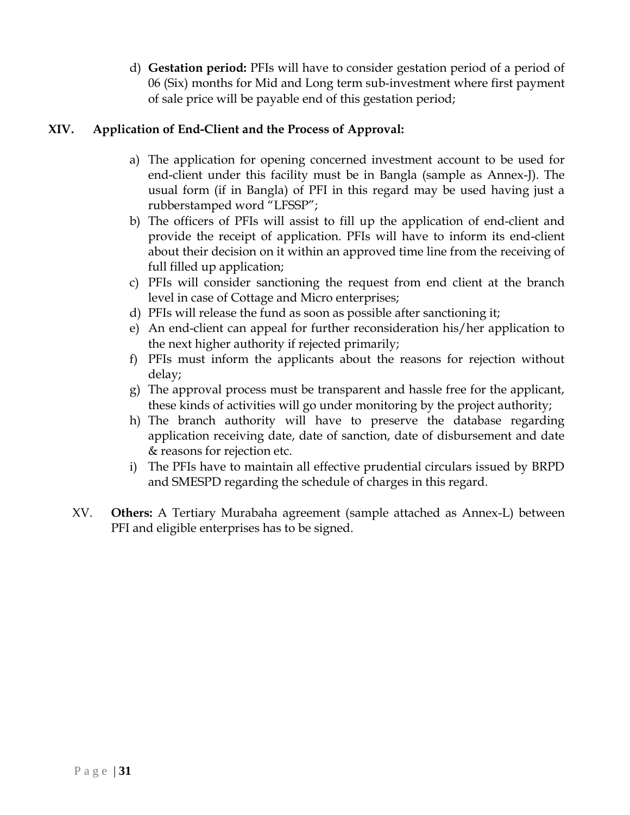d) **Gestation period:** PFIs will have to consider gestation period of a period of 06 (Six) months for Mid and Long term sub-investment where first payment of sale price will be payable end of this gestation period;

## **XIV. Application of End-Client and the Process of Approval:**

- a) The application for opening concerned investment account to be used for end-client under this facility must be in Bangla (sample as Annex-J). The usual form (if in Bangla) of PFI in this regard may be used having just a rubberstamped word "LFSSP";
- b) The officers of PFIs will assist to fill up the application of end-client and provide the receipt of application. PFIs will have to inform its end-client about their decision on it within an approved time line from the receiving of full filled up application;
- c) PFIs will consider sanctioning the request from end client at the branch level in case of Cottage and Micro enterprises;
- d) PFIs will release the fund as soon as possible after sanctioning it;
- e) An end-client can appeal for further reconsideration his/her application to the next higher authority if rejected primarily;
- f) PFIs must inform the applicants about the reasons for rejection without delay;
- g) The approval process must be transparent and hassle free for the applicant, these kinds of activities will go under monitoring by the project authority;
- h) The branch authority will have to preserve the database regarding application receiving date, date of sanction, date of disbursement and date & reasons for rejection etc.
- i) The PFIs have to maintain all effective prudential circulars issued by BRPD and SMESPD regarding the schedule of charges in this regard.
- XV. **Others:** A Tertiary Murabaha agreement (sample attached as Annex-L) between PFI and eligible enterprises has to be signed.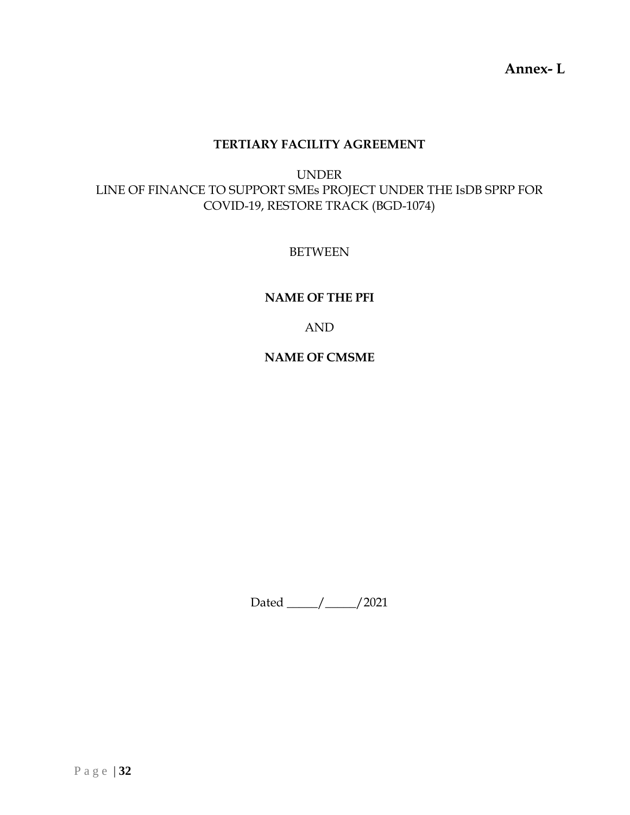**Annex- L**

## **TERTIARY FACILITY AGREEMENT**

UNDER LINE OF FINANCE TO SUPPORT SMEs PROJECT UNDER THE IsDB SPRP FOR COVID-19, RESTORE TRACK (BGD-1074)

BETWEEN

#### **NAME OF THE PFI**

AND

**NAME OF CMSME**

Dated \_\_\_\_\_/\_\_\_\_\_/2021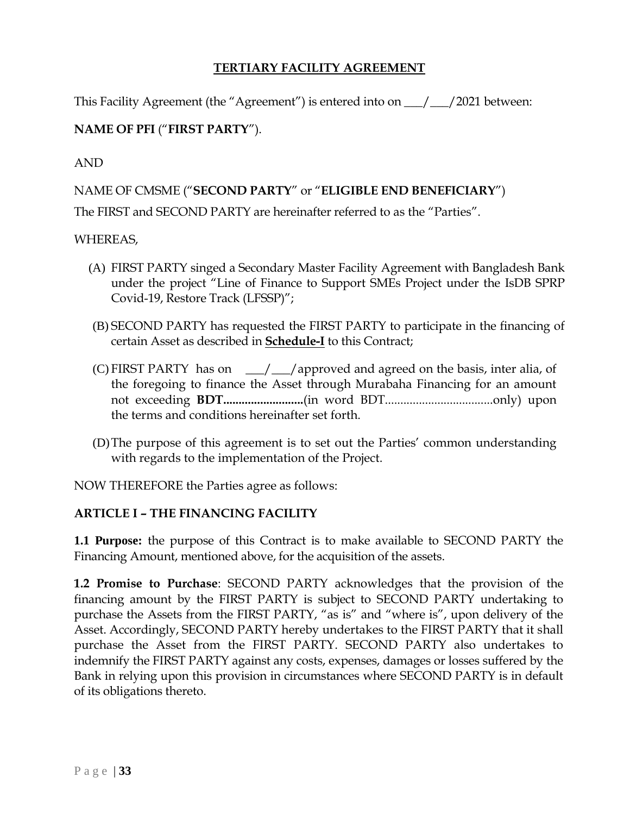## **TERTIARY FACILITY AGREEMENT**

This Facility Agreement (the "Agreement") is entered into on \_\_\_/\_\_\_/2021 between:

## **NAME OF PFI** ("**FIRST PARTY**").

AND

## NAME OF CMSME ("**SECOND PARTY**" or "**ELIGIBLE END BENEFICIARY**")

The FIRST and SECOND PARTY are hereinafter referred to as the "Parties".

#### WHEREAS,

- (A) FIRST PARTY singed a Secondary Master Facility Agreement with Bangladesh Bank under the project "Line of Finance to Support SMEs Project under the IsDB SPRP Covid-19, Restore Track (LFSSP)";
- (B) SECOND PARTY has requested the FIRST PARTY to participate in the financing of certain Asset as described in **Schedule-I** to this Contract;
- (C) FIRST PARTY has on  $\angle$   $\angle$   $\angle$  approved and agreed on the basis, inter alia, of the foregoing to finance the Asset through Murabaha Financing for an amount not exceeding **BDT..........................**(in word BDT...................................only) upon the terms and conditions hereinafter set forth.
- (D)The purpose of this agreement is to set out the Parties' common understanding with regards to the implementation of the Project.

NOW THEREFORE the Parties agree as follows:

#### **ARTICLE I – THE FINANCING FACILITY**

**1.1 Purpose:** the purpose of this Contract is to make available to SECOND PARTY the Financing Amount, mentioned above, for the acquisition of the assets.

**1.2 Promise to Purchase**: SECOND PARTY acknowledges that the provision of the financing amount by the FIRST PARTY is subject to SECOND PARTY undertaking to purchase the Assets from the FIRST PARTY, "as is" and "where is", upon delivery of the Asset. Accordingly, SECOND PARTY hereby undertakes to the FIRST PARTY that it shall purchase the Asset from the FIRST PARTY. SECOND PARTY also undertakes to indemnify the FIRST PARTY against any costs, expenses, damages or losses suffered by the Bank in relying upon this provision in circumstances where SECOND PARTY is in default of its obligations thereto.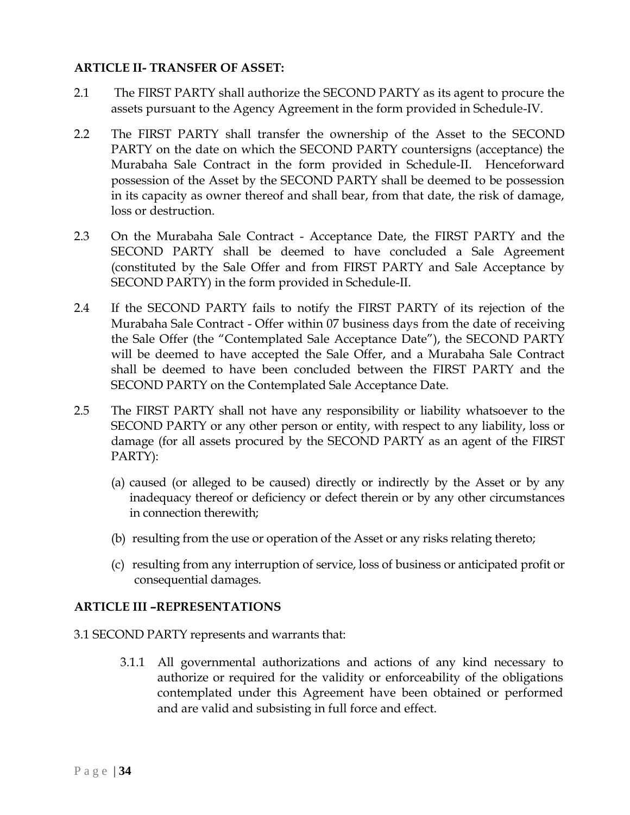#### **ARTICLE II- TRANSFER OF ASSET:**

- 2.1 The FIRST PARTY shall authorize the SECOND PARTY as its agent to procure the assets pursuant to the Agency Agreement in the form provided in Schedule-IV.
- 2.2 The FIRST PARTY shall transfer the ownership of the Asset to the SECOND PARTY on the date on which the SECOND PARTY countersigns (acceptance) the Murabaha Sale Contract in the form provided in Schedule-II. Henceforward possession of the Asset by the SECOND PARTY shall be deemed to be possession in its capacity as owner thereof and shall bear, from that date, the risk of damage, loss or destruction.
- 2.3 On the Murabaha Sale Contract Acceptance Date, the FIRST PARTY and the SECOND PARTY shall be deemed to have concluded a Sale Agreement (constituted by the Sale Offer and from FIRST PARTY and Sale Acceptance by SECOND PARTY) in the form provided in Schedule-II.
- 2.4 If the SECOND PARTY fails to notify the FIRST PARTY of its rejection of the Murabaha Sale Contract - Offer within 07 business days from the date of receiving the Sale Offer (the "Contemplated Sale Acceptance Date"), the SECOND PARTY will be deemed to have accepted the Sale Offer, and a Murabaha Sale Contract shall be deemed to have been concluded between the FIRST PARTY and the SECOND PARTY on the Contemplated Sale Acceptance Date.
- 2.5 The FIRST PARTY shall not have any responsibility or liability whatsoever to the SECOND PARTY or any other person or entity, with respect to any liability, loss or damage (for all assets procured by the SECOND PARTY as an agent of the FIRST PARTY):
	- (a) caused (or alleged to be caused) directly or indirectly by the Asset or by any inadequacy thereof or deficiency or defect therein or by any other circumstances in connection therewith;
	- (b) resulting from the use or operation of the Asset or any risks relating thereto;
	- (c) resulting from any interruption of service, loss of business or anticipated profit or consequential damages.

## **ARTICLE III –REPRESENTATIONS**

- 3.1 SECOND PARTY represents and warrants that:
	- 3.1.1 All governmental authorizations and actions of any kind necessary to authorize or required for the validity or enforceability of the obligations contemplated under this Agreement have been obtained or performed and are valid and subsisting in full force and effect.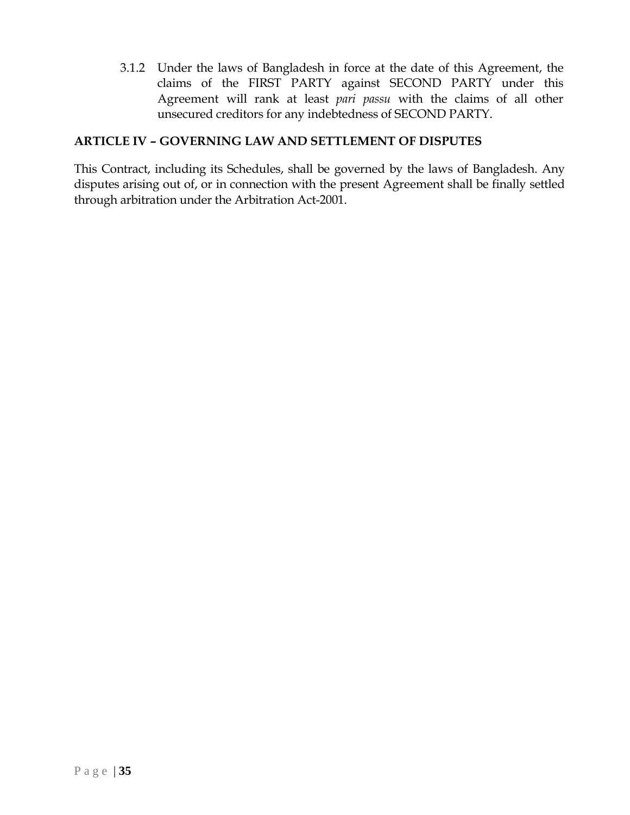3.1.2 Under the laws of Bangladesh in force at the date of this Agreement, the claims of the FIRST PARTY against SECOND PARTY under this Agreement will rank at least *pari passu* with the claims of all other unsecured creditors for any indebtedness of SECOND PARTY.

## **ARTICLE IV – GOVERNING LAW AND SETTLEMENT OF DISPUTES**

This Contract, including its Schedules, shall be governed by the laws of Bangladesh. Any disputes arising out of, or in connection with the present Agreement shall be finally settled through arbitration under the Arbitration Act-2001.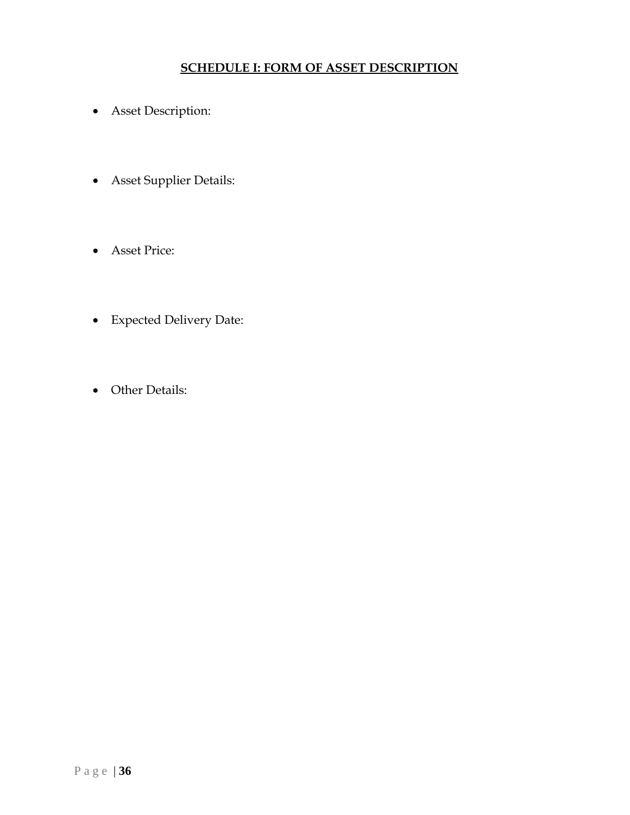## **SCHEDULE I: FORM OF ASSET DESCRIPTION**

- Asset Description:
- Asset Supplier Details:
- Asset Price:
- Expected Delivery Date:
- Other Details: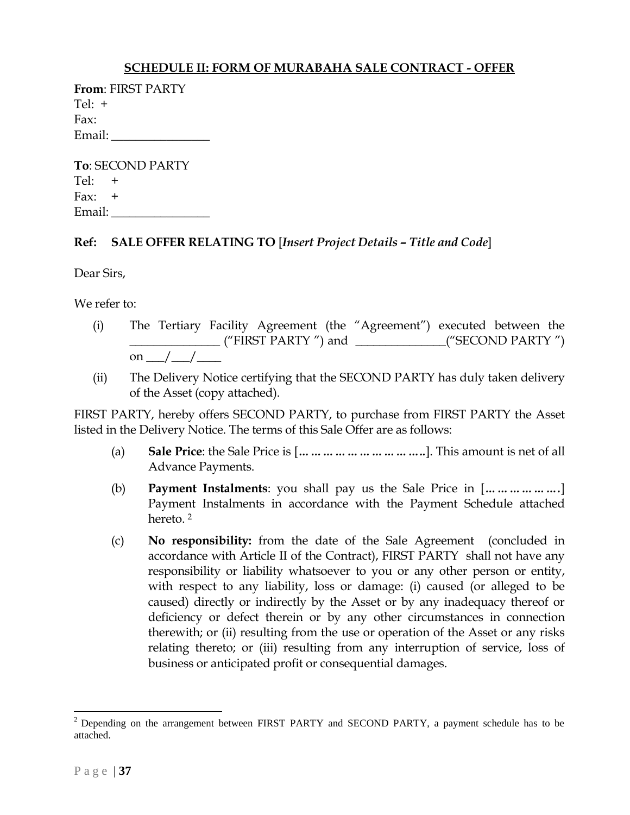#### **SCHEDULE II: FORM OF MURABAHA SALE CONTRACT - OFFER**

| <b>From: FIRST PARTY</b> |  |  |  |  |
|--------------------------|--|--|--|--|
| $Tel: +$                 |  |  |  |  |
| Fax:                     |  |  |  |  |
| Email:                   |  |  |  |  |

| <b>To: SECOND PARTY</b> |  |  |  |  |
|-------------------------|--|--|--|--|
| $Tel: +$                |  |  |  |  |
| Fax: $+$                |  |  |  |  |
| Email:                  |  |  |  |  |

#### **Ref: SALE OFFER RELATING TO** [*Insert Project Details – Title and Code*]

Dear Sirs,

We refer to:

- (i) The Tertiary Facility Agreement (the "Agreement") executed between the \_\_\_\_\_\_\_\_\_\_\_\_\_\_\_ ("FIRST PARTY ") and \_\_\_\_\_\_\_\_\_\_\_\_\_\_\_("SECOND PARTY ") on \_\_\_/\_\_\_/\_\_\_\_
- (ii) The Delivery Notice certifying that the SECOND PARTY has duly taken delivery of the Asset (copy attached).

FIRST PARTY, hereby offers SECOND PARTY, to purchase from FIRST PARTY the Asset listed in the Delivery Notice. The terms of this Sale Offer are as follows:

- (a) **Sale Price**: the Sale Price is [*…………………………..*]. This amount is net of all Advance Payments.
- (b) **Payment Instalments**: you shall pay us the Sale Price in [*……………….*] Payment Instalments in accordance with the Payment Schedule attached hereto. 2
- (c) **No responsibility:** from the date of the Sale Agreement (concluded in accordance with Article II of the Contract), FIRST PARTY shall not have any responsibility or liability whatsoever to you or any other person or entity, with respect to any liability, loss or damage: (i) caused (or alleged to be caused) directly or indirectly by the Asset or by any inadequacy thereof or deficiency or defect therein or by any other circumstances in connection therewith; or (ii) resulting from the use or operation of the Asset or any risks relating thereto; or (iii) resulting from any interruption of service, loss of business or anticipated profit or consequential damages.

 $\overline{a}$ 

<sup>&</sup>lt;sup>2</sup> Depending on the arrangement between FIRST PARTY and SECOND PARTY, a payment schedule has to be attached.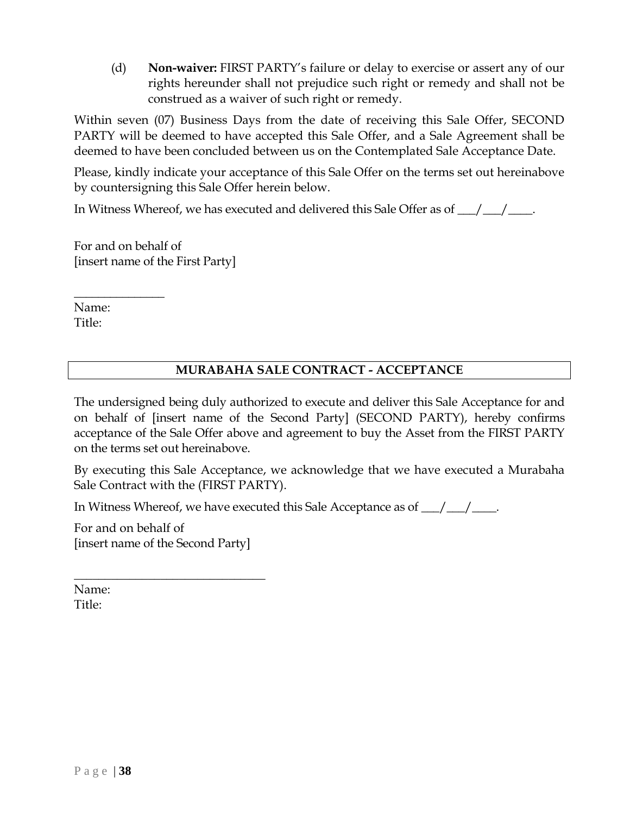(d) **Non-waiver:** FIRST PARTY's failure or delay to exercise or assert any of our rights hereunder shall not prejudice such right or remedy and shall not be construed as a waiver of such right or remedy.

Within seven (07) Business Days from the date of receiving this Sale Offer, SECOND PARTY will be deemed to have accepted this Sale Offer, and a Sale Agreement shall be deemed to have been concluded between us on the Contemplated Sale Acceptance Date.

Please, kindly indicate your acceptance of this Sale Offer on the terms set out hereinabove by countersigning this Sale Offer herein below.

In Witness Whereof, we has executed and delivered this Sale Offer as of  $\frac{1}{\sqrt{2}}$ 

For and on behalf of [insert name of the First Party]

Name: Title:

 $\overline{\phantom{a}}$  , where  $\overline{\phantom{a}}$ 

## **MURABAHA SALE CONTRACT - ACCEPTANCE**

The undersigned being duly authorized to execute and deliver this Sale Acceptance for and on behalf of [insert name of the Second Party] (SECOND PARTY), hereby confirms acceptance of the Sale Offer above and agreement to buy the Asset from the FIRST PARTY on the terms set out hereinabove.

By executing this Sale Acceptance, we acknowledge that we have executed a Murabaha Sale Contract with the (FIRST PARTY).

In Witness Whereof, we have executed this Sale Acceptance as of  $\frac{1}{\sqrt{2}}$ 

For and on behalf of [insert name of the Second Party]

 $\overline{\phantom{a}}$  , where  $\overline{\phantom{a}}$  , where  $\overline{\phantom{a}}$  , where  $\overline{\phantom{a}}$ 

Name: Title: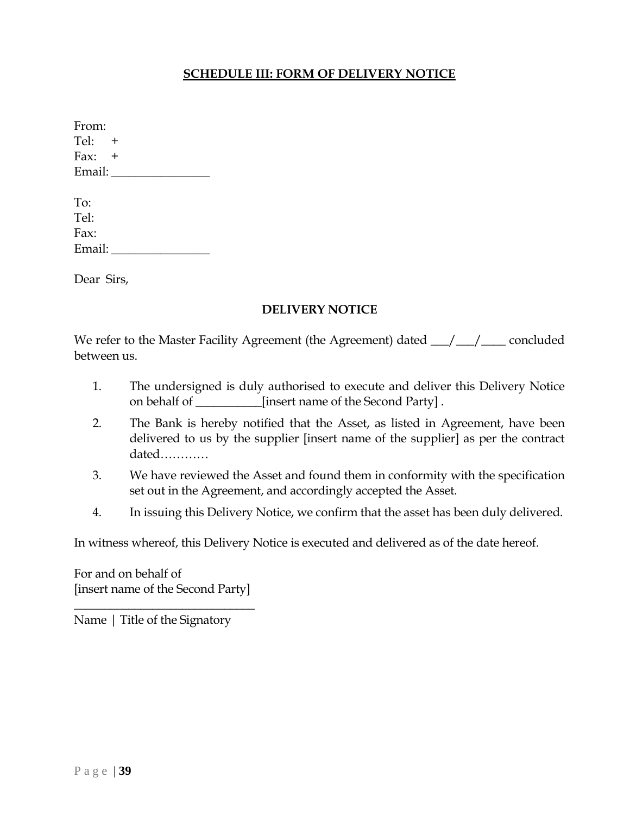## **SCHEDULE III: FORM OF DELIVERY NOTICE**

| From:    |  |
|----------|--|
| Tel: $+$ |  |
| Fax: $+$ |  |
| Email:   |  |
|          |  |
| To:      |  |
| Tel:     |  |
| Fax:     |  |
| Email:   |  |
|          |  |

Dear Sirs,

#### **DELIVERY NOTICE**

We refer to the Master Facility Agreement (the Agreement) dated  $\frac{1}{\sqrt{2}}$  concluded between us.

- 1. The undersigned is duly authorised to execute and deliver this Delivery Notice on behalf of \_\_\_\_\_\_\_\_\_\_\_[insert name of the Second Party] .
- 2. The Bank is hereby notified that the Asset, as listed in Agreement, have been delivered to us by the supplier [insert name of the supplier] as per the contract dated…………
- 3. We have reviewed the Asset and found them in conformity with the specification set out in the Agreement, and accordingly accepted the Asset.
- 4. In issuing this Delivery Notice, we confirm that the asset has been duly delivered.

In witness whereof, this Delivery Notice is executed and delivered as of the date hereof.

For and on behalf of [insert name of the Second Party]

\_\_\_\_\_\_\_\_\_\_\_\_\_\_\_\_\_\_\_\_\_\_\_\_\_\_\_\_\_\_

Name | Title of the Signatory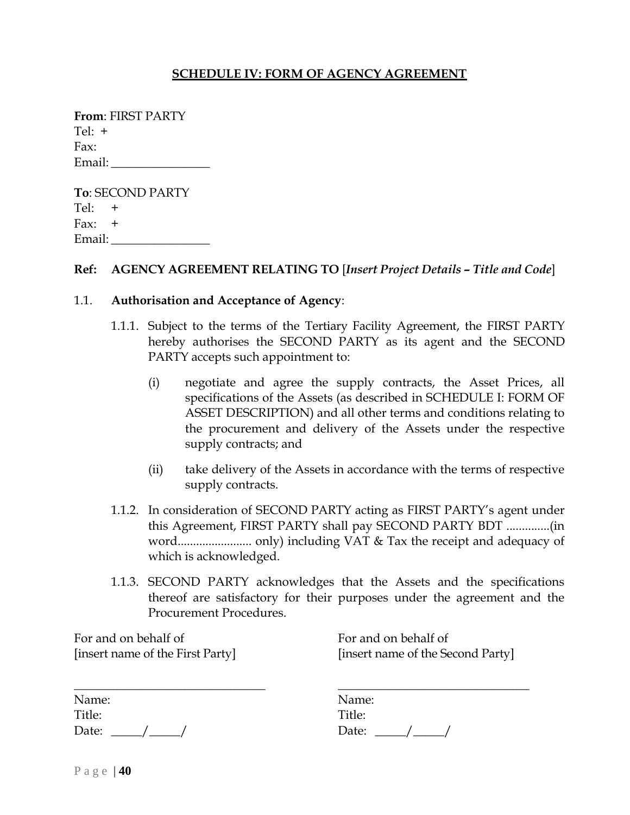#### **SCHEDULE IV: FORM OF AGENCY AGREEMENT**

| <b>From: FIRST PARTY</b> |  |  |  |  |
|--------------------------|--|--|--|--|
| Tel: $+$                 |  |  |  |  |
| Fax:                     |  |  |  |  |
| Email:                   |  |  |  |  |

**To**: SECOND PARTY  $Te$ :  $+$  $\text{Fax:} \quad +$ Email: \_\_\_\_\_\_\_\_\_\_\_\_\_\_\_\_

#### **Ref: AGENCY AGREEMENT RELATING TO** [*Insert Project Details – Title and Code*]

#### 1.1. **Authorisation and Acceptance of Agency**:

- 1.1.1. Subject to the terms of the Tertiary Facility Agreement, the FIRST PARTY hereby authorises the SECOND PARTY as its agent and the SECOND PARTY accepts such appointment to:
	- (i) negotiate and agree the supply contracts, the Asset Prices, all specifications of the Assets (as described in SCHEDULE I: FORM OF ASSET DESCRIPTION) and all other terms and conditions relating to the procurement and delivery of the Assets under the respective supply contracts; and
	- (ii) take delivery of the Assets in accordance with the terms of respective supply contracts.
- 1.1.2. In consideration of SECOND PARTY acting as FIRST PARTY's agent under this Agreement, FIRST PARTY shall pay SECOND PARTY BDT ..............(in word........................ only) including VAT & Tax the receipt and adequacy of which is acknowledged.
- 1.1.3. SECOND PARTY acknowledges that the Assets and the specifications thereof are satisfactory for their purposes under the agreement and the Procurement Procedures.

For and on behalf of [insert name of the First Party]

For and on behalf of [insert name of the Second Party]

 $\overline{\phantom{a}}$  , where  $\overline{\phantom{a}}$  , where  $\overline{\phantom{a}}$  , where  $\overline{\phantom{a}}$ 

| Name:  |  |  |
|--------|--|--|
| Title: |  |  |
| Date:  |  |  |

| Name:  |  |
|--------|--|
| Title: |  |
| Date:  |  |